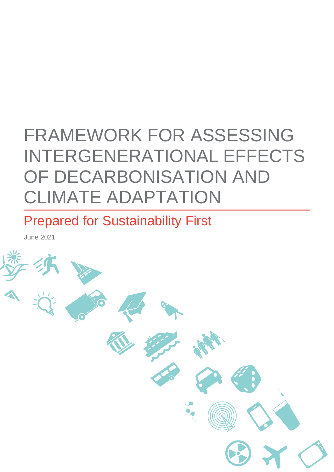# FRAMEWORK FOR ASSESSING INTERGENERATIONAL EFFECTS OF DECARBONISATION AND CLIMATE ADAPTATION

Prepared for Sustainability First

June 2021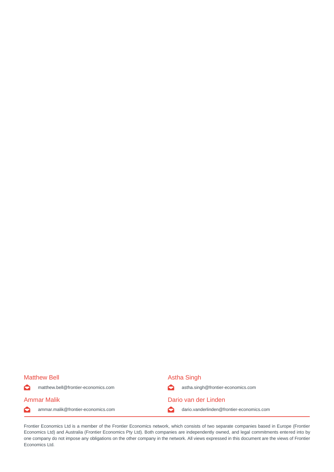$\bullet$ 

 $\bullet$ 

#### Matthew Bell **Astha Singh** Astha Singh

matthew.bell@frontier-economics.com astha.singh@frontier-economics.com Ammar Malik Dario van der Linden

ammar.malik@frontier-economics.com dario.vanderlinden@frontier-economics.com

Frontier Economics Ltd is a member of the Frontier Economics network, which consists of two separate companies based in Europe (Frontier Economics Ltd) and Australia (Frontier Economics Pty Ltd). Both companies are independently owned, and legal commitments entered into by one company do not impose any obligations on the other company in the network. All views expressed in this document are the views of Frontier Economics Ltd.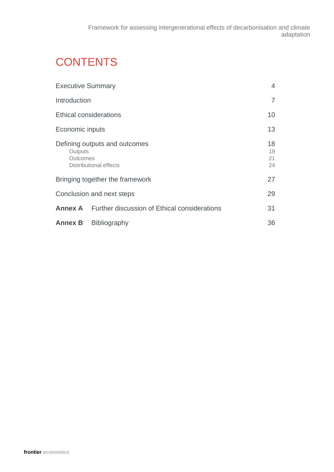## **CONTENTS**

| <b>Executive Summary</b>                                                       |                                                             | $\overline{4}$       |
|--------------------------------------------------------------------------------|-------------------------------------------------------------|----------------------|
| Introduction                                                                   |                                                             | $\overline{7}$       |
| <b>Ethical considerations</b>                                                  |                                                             | 10                   |
| Economic inputs                                                                |                                                             | 13                   |
| Defining outputs and outcomes<br>Outputs<br>Outcomes<br>Distributional effects |                                                             | 18<br>18<br>21<br>24 |
|                                                                                | Bringing together the framework                             | 27                   |
|                                                                                | Conclusion and next steps                                   | 29                   |
|                                                                                | <b>Annex A</b> Further discussion of Ethical considerations | 31                   |
| <b>Annex B</b>                                                                 | <b>Bibliography</b>                                         | 36                   |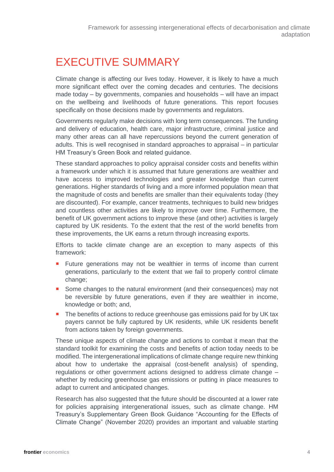### <span id="page-3-0"></span>EXECUTIVE SUMMARY

Climate change is affecting our lives today. However, it is likely to have a much more significant effect over the coming decades and centuries. The decisions made today – by governments, companies and households – will have an impact on the wellbeing and livelihoods of future generations. This report focuses specifically on those decisions made by governments and regulators.

Governments regularly make decisions with long term consequences. The funding and delivery of education, health care, major infrastructure, criminal justice and many other areas can all have repercussions beyond the current generation of adults. This is well recognised in standard approaches to appraisal – in particular HM Treasury's Green Book and related guidance.

These standard approaches to policy appraisal consider costs and benefits within a framework under which it is assumed that future generations are wealthier and have access to improved technologies and greater knowledge than current generations. Higher standards of living and a more informed population mean that the magnitude of costs and benefits are smaller than their equivalents today (they are discounted). For example, cancer treatments, techniques to build new bridges and countless other activities are likely to improve over time. Furthermore, the benefit of UK government actions to improve these (and other) activities is largely captured by UK residents. To the extent that the rest of the world benefits from these improvements, the UK earns a return through increasing exports.

Efforts to tackle climate change are an exception to many aspects of this framework:

- **F**uture generations may not be wealthier in terms of income than current generations, particularly to the extent that we fail to properly control climate change;
- Some changes to the natural environment (and their consequences) may not be reversible by future generations, even if they are wealthier in income, knowledge or both; and,
- The benefits of actions to reduce greenhouse gas emissions paid for by UK tax payers cannot be fully captured by UK residents, while UK residents benefit from actions taken by foreign governments.

These unique aspects of climate change and actions to combat it mean that the standard toolkit for examining the costs and benefits of action today needs to be modified. The intergenerational implications of climate change require new thinking about how to undertake the appraisal (cost-benefit analysis) of spending, regulations or other government actions designed to address climate change – whether by reducing greenhouse gas emissions or putting in place measures to adapt to current and anticipated changes.

Research has also suggested that the future should be discounted at a lower rate for policies appraising intergenerational issues, such as climate change. HM Treasury's Supplementary Green Book Guidance "Accounting for the Effects of Climate Change" (November 2020) provides an important and valuable starting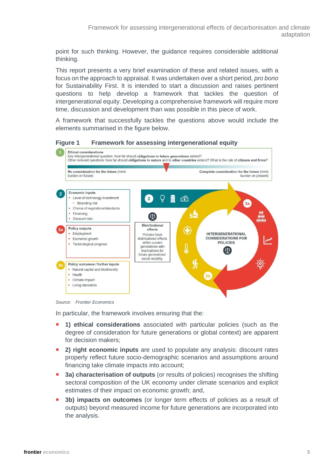point for such thinking. However, the guidance requires considerable additional thinking.

This report presents a very brief examination of these and related issues, with a focus on the approach to appraisal. It was undertaken over a short period, *pro bono* for Sustainability First. It is intended to start a discussion and raises pertinent questions to help develop a framework that tackles the question of intergenerational equity. Developing a comprehensive framework will require more time, discussion and development than was possible in this piece of work.

A framework that successfully tackles the questions above would include the elements summarised in the figure below.





*Source: Frontier Economics*

In particular, the framework involves ensuring that the:

- **1) ethical considerations** associated with particular policies (such as the degree of consideration for future generations or global context) are apparent for decision makers;
- **2) right economic inputs** are used to populate any analysis: discount rates properly reflect future socio-demographic scenarios and assumptions around financing take climate impacts into account;
- **3a) characterisation of outputs** (or results of policies) recognises the shifting sectoral composition of the UK economy under climate scenarios and explicit estimates of their impact on economic growth; and,
- **3b) impacts on outcomes** (or longer term effects of policies as a result of outputs) beyond measured income for future generations are incorporated into the analysis.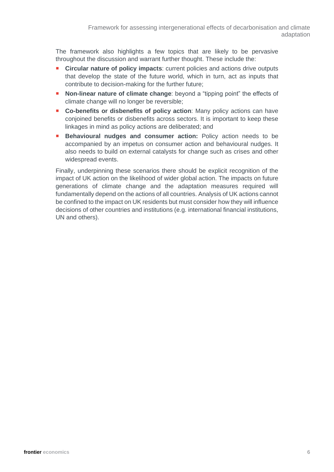The framework also highlights a few topics that are likely to be pervasive throughout the discussion and warrant further thought. These include the:

- **Circular nature of policy impacts**: current policies and actions drive outputs that develop the state of the future world, which in turn, act as inputs that contribute to decision-making for the further future;
- **Non-linear nature of climate change:** beyond a "tipping point" the effects of climate change will no longer be reversible;
- **Co-benefits or disbenefits of policy action**: Many policy actions can have conjoined benefits or disbenefits across sectors. It is important to keep these linkages in mind as policy actions are deliberated; and
- **Behavioural nudges and consumer action:** Policy action needs to be accompanied by an impetus on consumer action and behavioural nudges. It also needs to build on external catalysts for change such as crises and other widespread events.

Finally, underpinning these scenarios there should be explicit recognition of the impact of UK action on the likelihood of wider global action. The impacts on future generations of climate change and the adaptation measures required will fundamentally depend on the actions of all countries. Analysis of UK actions cannot be confined to the impact on UK residents but must consider how they will influence decisions of other countries and institutions (e.g. international financial institutions, UN and others).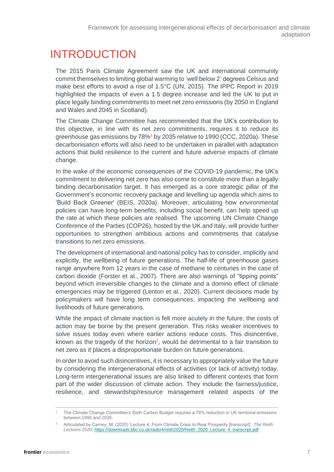### <span id="page-6-0"></span>INTRODUCTION

The 2015 Paris Climate Agreement saw the UK and international community commit themselves to limiting global warming to 'well below 2' degrees Celsius and make best efforts to avoid a rise of 1.5°C (UN, 2015). The IPPC Report in 2019 highlighted the impacts of even a 1.5 degree increase and led the UK to put in place legally binding commitments to meet net zero emissions (by 2050 in England and Wales and 2045 in Scotland).

The Climate Change Committee has recommended that the UK's contribution to this objective, in line with its net zero commitments, requires it to reduce its greenhouse gas emissions by 78%<sup>1</sup> by 2035 relative to 1990 (CCC, 2020a). These decarbonisation efforts will also need to be undertaken in parallel with adaptation actions that build resilience to the current and future adverse impacts of climate change.

In the wake of the economic consequences of the COVID-19 pandemic, the UK's commitment to delivering net zero has also come to constitute more than a legally binding decarbonisation target. It has emerged as a core strategic pillar of the Government's economic recovery package and levelling up agenda which aims to 'Build Back Greener' (BEIS, 2020a). Moreover, articulating how environmental policies can have long-term benefits, including social benefit, can help speed up the rate at which these policies are realised. The upcoming UN Climate Change Conference of the Parties (COP26), hosted by the UK and Italy, will provide further opportunities to strengthen ambitious actions and commitments that catalyse transitions to net zero emissions.

The development of international and national policy has to consider, implicitly and explicitly, the wellbeing of future generations. The half-life of greenhouse gases range anywhere from 12 years in the case of methane to centuries in the case of carbon dioxide (Forster et al., 2007). There are also warnings of "tipping points" beyond which irreversible changes to the climate and a domino effect of climate emergencies may be triggered (Lenton et al., 2020). Current decisions made by policymakers will have long term consequences, impacting the wellbeing and livelihoods of future generations.

While the impact of climate inaction is felt more acutely in the future, the costs of action may be borne by the present generation. This risks weaker incentives to solve issues today even where earlier actions reduce costs. This disincentive, known as the tragedy of the horizon<sup>2</sup>, would be detrimental to a fair transition to net zero as it places a disproportionate burden on future generations.

In order to avoid such disincentives, it is necessary to appropriately value the future by considering the intergenerational effects of activities (or lack of activity) today. Long-term intergenerational issues are also linked to different contexts that form part of the wider discussion of climate action. They include the fairness/justice, resilience, and stewardship/resource management related aspects of the

<sup>1</sup> The Climate Change Committee's Sixth Carbon Budget requires a 78% reduction in UK territorial emissions between 1990 and 2035.

<sup>2</sup> Articulated by Carney, M. (2020) 'Lecture 4: From Climate Crisis to Real Prosperity [transcript]', *The Reith Lectures 2020.* [https://downloads.bbc.co.uk/radio4/reith2020/Reith\\_2020\\_Lecture\\_4\\_transcript.pdf](https://downloads.bbc.co.uk/radio4/reith2020/Reith_2020_Lecture_4_transcript.pdf)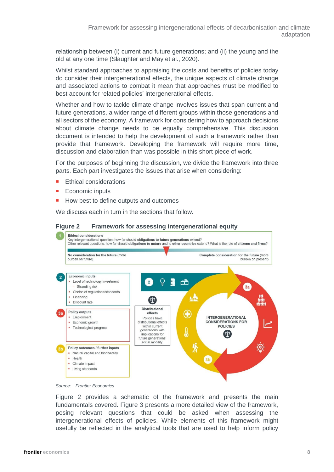relationship between (i) current and future generations; and (ii) the young and the old at any one time (Slaughter and May et al., 2020).

Whilst standard approaches to appraising the costs and benefits of policies today do consider their intergenerational effects, the unique aspects of climate change and associated actions to combat it mean that approaches must be modified to best account for related policies' intergenerational effects.

Whether and how to tackle climate change involves issues that span current and future generations, a wider range of different groups within those generations and all sectors of the economy. A framework for considering how to approach decisions about climate change needs to be equally comprehensive. This discussion document is intended to help the development of such a framework rather than provide that framework. Developing the framework will require more time, discussion and elaboration than was possible in this short piece of work.

For the purposes of beginning the discussion, we divide the framework into three parts. Each part investigates the issues that arise when considering:

- Ethical considerations
- Economic inputs
- How best to define outputs and outcomes

We discuss each in turn in the sections that follow.

#### **Figure 2 Framework for assessing intergenerational equity**





Figure 2 provides a schematic of the framework and presents the main fundamentals covered. Figure 3 presents a more detailed view of the framework, posing relevant questions that could be asked when assessing the intergenerational effects of policies. While elements of this framework might usefully be reflected in the analytical tools that are used to help inform policy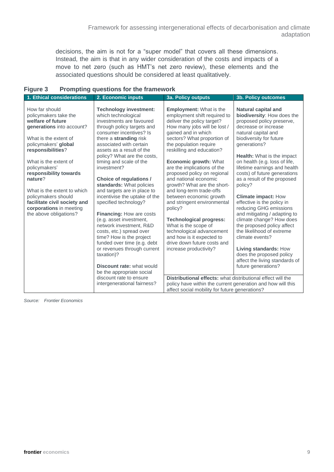decisions, the aim is not for a "super model" that covers all these dimensions. Instead, the aim is that in any wider consideration of the costs and impacts of a move to net zero (such as HMT's net zero review), these elements and the associated questions should be considered at least qualitatively.

| 1. Ethical considerations                                                                                                                                                                                                                                                                                                                                                                 | 2. Economic inputs                                                                                                                                                                                                                                                                                                                                                                                                                                                                                                                                                                                                                                                                                                                                                     | <b>3a. Policy outputs</b>                                                                                                                                                                                                                                                                                                                                                                                                                                                                                                                                                                                                                                                                                                                    | <b>3b. Policy outcomes</b>                                                                                                                                                                                                                                                                                                                                                                                                                                                                                                                                                                                                                                                                                    |  |
|-------------------------------------------------------------------------------------------------------------------------------------------------------------------------------------------------------------------------------------------------------------------------------------------------------------------------------------------------------------------------------------------|------------------------------------------------------------------------------------------------------------------------------------------------------------------------------------------------------------------------------------------------------------------------------------------------------------------------------------------------------------------------------------------------------------------------------------------------------------------------------------------------------------------------------------------------------------------------------------------------------------------------------------------------------------------------------------------------------------------------------------------------------------------------|----------------------------------------------------------------------------------------------------------------------------------------------------------------------------------------------------------------------------------------------------------------------------------------------------------------------------------------------------------------------------------------------------------------------------------------------------------------------------------------------------------------------------------------------------------------------------------------------------------------------------------------------------------------------------------------------------------------------------------------------|---------------------------------------------------------------------------------------------------------------------------------------------------------------------------------------------------------------------------------------------------------------------------------------------------------------------------------------------------------------------------------------------------------------------------------------------------------------------------------------------------------------------------------------------------------------------------------------------------------------------------------------------------------------------------------------------------------------|--|
| How far should<br>policymakers take the<br>welfare of future<br>generations into account?<br>What is the extent of<br>policymakers' global<br>responsibilities?<br>What is the extent of<br>policymakers'<br>responsibility towards<br>nature?<br>What is the extent to which<br>policymakers should<br>facilitate civil society and<br>corporations in meeting<br>the above obligations? | <b>Technology investment:</b><br>which technological<br>investments are favoured<br>through policy targets and<br>consumer incentives? Is<br>there a stranding risk<br>associated with certain<br>assets as a result of the<br>policy? What are the costs,<br>timing and scale of the<br>investment?<br>Choice of regulations /<br>standards: What policies<br>and targets are in place to<br>incentivise the uptake of the<br>specified technology?<br><b>Financing: How are costs</b><br>(e.g. asset investment,<br>network investment. R&D<br>costs, etc.) spread over<br>time? How is the project<br>funded over time (e.g. debt<br>or revenues through current<br>taxation)?<br>Discount rate: what would<br>be the appropriate social<br>discount rate to ensure | <b>Employment:</b> What is the<br>employment shift required to<br>deliver the policy target?<br>How many jobs will be lost /<br>gained and in which<br>sectors? What proportion of<br>the population require<br>reskilling and education?<br><b>Economic growth: What</b><br>are the implications of the<br>proposed policy on regional<br>and national economic<br>growth? What are the short-<br>and long-term trade-offs<br>between economic growth<br>and stringent environmental<br>policy?<br><b>Technological progress:</b><br>What is the scope of<br>technological advancement<br>and how is it expected to<br>drive down future costs and<br>increase productivity?<br>Distributional effects: what distributional effect will the | <b>Natural capital and</b><br>biodiversity: How does the<br>proposed policy preserve,<br>decrease or increase<br>natural capital and<br>biodiversity for future<br>generations?<br><b>Health:</b> What is the impact<br>on health (e.g. loss of life,<br>lifetime earnings and health<br>costs) of future generations<br>as a result of the proposed<br>policy?<br><b>Climate impact: How</b><br>effective is the policy in<br>reducing GHG emissions<br>and mitigating / adapting to<br>climate change? How does<br>the proposed policy affect<br>the likelihood of extreme<br>climate events?<br>Living standards: How<br>does the proposed policy<br>affect the living standards of<br>future generations? |  |
|                                                                                                                                                                                                                                                                                                                                                                                           | intergenerational fairness?                                                                                                                                                                                                                                                                                                                                                                                                                                                                                                                                                                                                                                                                                                                                            | policy have within the current generation and how will this<br>affect social mobility for future generations?                                                                                                                                                                                                                                                                                                                                                                                                                                                                                                                                                                                                                                |                                                                                                                                                                                                                                                                                                                                                                                                                                                                                                                                                                                                                                                                                                               |  |

| <b>Figure 3</b> |  | <b>Prompting questions for the framework</b> |  |  |
|-----------------|--|----------------------------------------------|--|--|
|-----------------|--|----------------------------------------------|--|--|

*Source: Frontier Economics*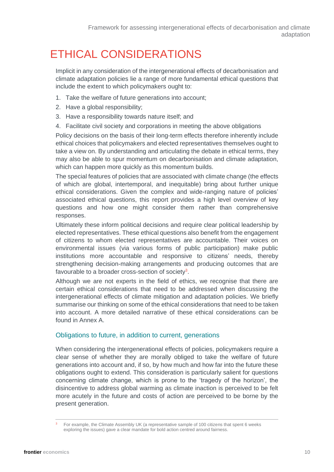### <span id="page-9-0"></span>ETHICAL CONSIDERATIONS

Implicit in any consideration of the intergenerational effects of decarbonisation and climate adaptation policies lie a range of more fundamental ethical questions that include the extent to which policymakers ought to:

- 1. Take the welfare of future generations into account;
- 2. Have a global responsibility;
- 3. Have a responsibility towards nature itself; and
- 4. Facilitate civil society and corporations in meeting the above obligations

Policy decisions on the basis of their long-term effects therefore inherently include ethical choices that policymakers and elected representatives themselves ought to take a view on. By understanding and articulating the debate in ethical terms, they may also be able to spur momentum on decarbonisation and climate adaptation, which can happen more quickly as this momentum builds.

The special features of policies that are associated with climate change (the effects of which are global, intertemporal, and inequitable) bring about further unique ethical considerations. Given the complex and wide-ranging nature of policies' associated ethical questions, this report provides a high level overview of key questions and how one might consider them rather than comprehensive responses.

Ultimately these inform political decisions and require clear political leadership by elected representatives. These ethical questions also benefit from the engagement of citizens to whom elected representatives are accountable. Their voices on environmental issues (via various forms of public participation) make public institutions more accountable and responsive to citizens' needs, thereby strengthening decision-making arrangements and producing outcomes that are favourable to a broader cross-section of society<sup>3</sup>.

Although we are not experts in the field of ethics, we recognise that there are certain ethical considerations that need to be addressed when discussing the intergenerational effects of climate mitigation and adaptation policies. We briefly summarise our thinking on some of the ethical considerations that need to be taken into account. A more detailed narrative of these ethical considerations can be found in Annex A.

### Obligations to future, in addition to current, generations

When considering the intergenerational effects of policies, policymakers require a clear sense of whether they are morally obliged to take the welfare of future generations into account and, if so, by how much and how far into the future these obligations ought to extend. This consideration is particularly salient for questions concerning climate change, which is prone to the 'tragedy of the horizon', the disincentive to address global warming as climate inaction is perceived to be felt more acutely in the future and costs of action are perceived to be borne by the present generation.

<sup>3</sup> For example, the Climate Assembly UK (a representative sample of 100 citizens that spent 6 weeks exploring the issues) gave a clear mandate for bold action centred around fairness.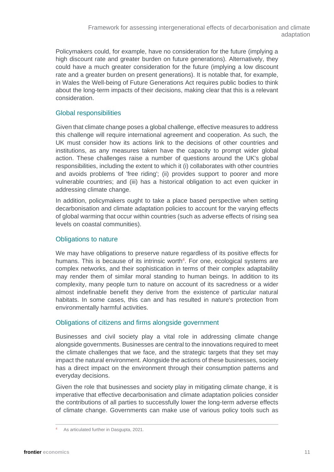Policymakers could, for example, have no consideration for the future (implying a high discount rate and greater burden on future generations). Alternatively, they could have a much greater consideration for the future (implying a low discount rate and a greater burden on present generations). It is notable that, for example, in Wales the Well-being of Future Generations Act requires public bodies to think about the long-term impacts of their decisions, making clear that this is a relevant consideration.

### Global responsibilities

Given that climate change poses a global challenge, effective measures to address this challenge will require international agreement and cooperation. As such, the UK must consider how its actions link to the decisions of other countries and institutions, as any measures taken have the capacity to prompt wider global action. These challenges raise a number of questions around the UK's global responsibilities, including the extent to which it (i) collaborates with other countries and avoids problems of 'free riding'; (ii) provides support to poorer and more vulnerable countries; and (iii) has a historical obligation to act even quicker in addressing climate change.

In addition, policymakers ought to take a place based perspective when setting decarbonisation and climate adaptation policies to account for the varying effects of global warming that occur within countries (such as adverse effects of rising sea levels on coastal communities).

#### Obligations to nature

We may have obligations to preserve nature regardless of its positive effects for humans. This is because of its intrinsic worth<sup>4</sup>. For one, ecological systems are complex networks, and their sophistication in terms of their complex adaptability may render them of similar moral standing to human beings. In addition to its complexity, many people turn to nature on account of its sacredness or a wider almost indefinable benefit they derive from the existence of particular natural habitats. In some cases, this can and has resulted in nature's protection from environmentally harmful activities.

### Obligations of citizens and firms alongside government

Businesses and civil society play a vital role in addressing climate change alongside governments. Businesses are central to the innovations required to meet the climate challenges that we face, and the strategic targets that they set may impact the natural environment. Alongside the actions of these businesses, society has a direct impact on the environment through their consumption patterns and everyday decisions.

Given the role that businesses and society play in mitigating climate change, it is imperative that effective decarbonisation and climate adaptation policies consider the contributions of all parties to successfully lower the long-term adverse effects of climate change. Governments can make use of various policy tools such as

As articulated further in Dasgupta, 2021.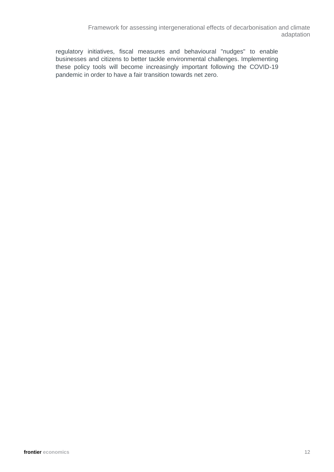Framework for assessing intergenerational effects of decarbonisation and climate adaptation

regulatory initiatives, fiscal measures and behavioural "nudges" to enable businesses and citizens to better tackle environmental challenges. Implementing these policy tools will become increasingly important following the COVID-19 pandemic in order to have a fair transition towards net zero.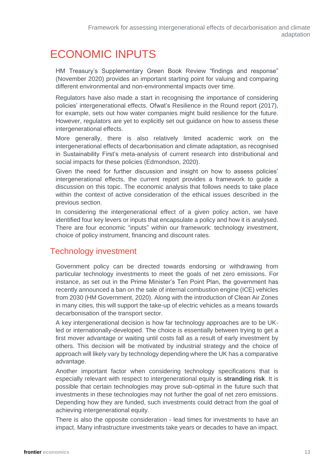### <span id="page-12-0"></span>ECONOMIC INPUTS

HM Treasury's Supplementary Green Book Review "findings and response" (November 2020) provides an important starting point for valuing and comparing different environmental and non-environmental impacts over time.

Regulators have also made a start in recognising the importance of considering policies' intergenerational effects. Ofwat's Resilience in the Round report (2017), for example, sets out how water companies might build resilience for the future. However, regulators are yet to explicitly set out guidance on how to assess these intergenerational effects.

More generally, there is also relatively limited academic work on the intergenerational effects of decarbonisation and climate adaptation, as recognised in Sustainability First's meta-analysis of current research into distributional and social impacts for these policies (Edmondson, 2020).

Given the need for further discussion and insight on how to assess policies' intergenerational effects, the current report provides a framework to guide a discussion on this topic. The economic analysis that follows needs to take place within the context of active consideration of the ethical issues described in the previous section.

In considering the intergenerational effect of a given policy action, we have identified four key levers or inputs that encapsulate a policy and how it is analysed. There are four economic "inputs" within our framework: technology investment, choice of policy instrument, financing and discount rates.

### Technology investment

Government policy can be directed towards endorsing or withdrawing from particular technology investments to meet the goals of net zero emissions. For instance, as set out in the Prime Minister's Ten Point Plan, the government has recently announced a ban on the sale of internal combustion engine (ICE) vehicles from 2030 (HM Government, 2020). Along with the introduction of Clean Air Zones in many cities, this will support the take-up of electric vehicles as a means towards decarbonisation of the transport sector.

A key intergenerational decision is how far technology approaches are to be UKled or internationally-developed. The choice is essentially between trying to get a first mover advantage or waiting until costs fall as a result of early investment by others. This decision will be motivated by industrial strategy and the choice of approach will likely vary by technology depending where the UK has a comparative advantage.

Another important factor when considering technology specifications that is especially relevant with respect to intergenerational equity is **stranding risk**. It is possible that certain technologies may prove sub-optimal in the future such that investments in these technologies may not further the goal of net zero emissions. Depending how they are funded, such investments could detract from the goal of achieving intergenerational equity.

There is also the opposite consideration - lead times for investments to have an impact. Many infrastructure investments take years or decades to have an impact.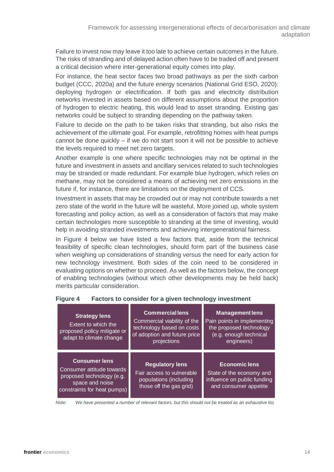Failure to invest now may leave it too late to achieve certain outcomes in the future. The risks of stranding and of delayed action often have to be traded off and present a critical decision where inter-generational equity comes into play.

For instance, the heat sector faces two broad pathways as per the sixth carbon budget (CCC, 2020a) and the future energy scenarios (National Grid ESO, 2020): deploying hydrogen or electrification. If both gas and electricity distribution networks invested in assets based on different assumptions about the proportion of hydrogen to electric heating, this would lead to asset stranding. Existing gas networks could be subject to stranding depending on the pathway taken.

Failure to decide on the path to be taken risks that stranding, but also risks the achievement of the ultimate goal. For example, retrofitting homes with heat pumps cannot be done quickly – if we do not start soon it will not be possible to achieve the levels required to meet net zero targets.

Another example is one where specific technologies may not be optimal in the future and investment in assets and ancillary services related to such technologies may be stranded or made redundant. For example blue hydrogen, which relies on methane, may not be considered a means of achieving net zero emissions in the future if, for instance, there are limitations on the deployment of CCS.

Investment in assets that may be crowded out or may not contribute towards a net zero state of the world in the future will be wasteful. More joined up, whole system forecasting and policy action, as well as a consideration of factors that may make certain technologies more susceptible to stranding at the time of investing, would help in avoiding stranded investments and achieving intergenerational fairness.

In [Figure 4](#page-13-0) below we have listed a few factors that, aside from the technical feasibility of specific clean technologies, should form part of the business case when weighing up considerations of stranding versus the need for early action for new technology investment. Both sides of the coin need to be considered in evaluating options on whether to proceed. As well as the factors below, the concept of enabling technologies (without which other developments may be held back) merits particular consideration.

| <b>Strategy lens</b><br>Extent to which the<br>proposed policy mitigate or<br>adapt to climate change                            | <b>Commercial lens</b><br>Commercial viability of the<br>technology based on costs<br>of adoption and future price<br>projections | <b>Management lens</b><br>Pain points in implementing<br>the proposed technology<br>(e.g. enough technical<br>engineers) |
|----------------------------------------------------------------------------------------------------------------------------------|-----------------------------------------------------------------------------------------------------------------------------------|--------------------------------------------------------------------------------------------------------------------------|
| <b>Consumer lens</b><br>Consumer attitude towards<br>proposed technology (e.g.<br>space and noise<br>constraints for heat pumps) | <b>Regulatory lens</b><br>Fair access to vulnerable<br>populations (including<br>those off the gas grid)                          | <b>Economic lens</b><br>State of the economy and<br>influence on public funding<br>and consumer appetite                 |

### <span id="page-13-0"></span>**Figure 4 Factors to consider for a given technology investment**

*Note: We have presented a number of relevant factors, but this should not be treated as an exhaustive list.*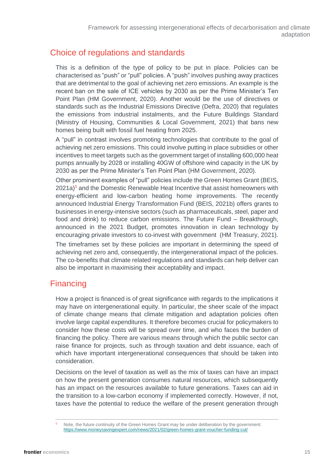### Choice of regulations and standards

This is a definition of the type of policy to be put in place. Policies can be characterised as "push" or "pull" policies. A "push" involves pushing away practices that are detrimental to the goal of achieving net zero emissions. An example is the recent ban on the sale of ICE vehicles by 2030 as per the Prime Minister's Ten Point Plan (HM Government, 2020). Another would be the use of directives or standards such as the Industrial Emissions Directive (Defra, 2020) that regulates the emissions from industrial instalments, and the Future Buildings Standard (Ministry of Housing, Communities & Local Government, 2021) that bans new homes being built with fossil fuel heating from 2025.

A "pull" in contrast involves promoting technologies that contribute to the goal of achieving net zero emissions. This could involve putting in place subsidies or other incentives to meet targets such as the government target of installing 600,000 heat pumps annually by 2028 or installing 40GW of offshore wind capacity in the UK by 2030 as per the Prime Minister's Ten Point Plan (HM Government, 2020).

Other prominent examples of "pull" policies include the Green Homes Grant (BEIS, 2021a)<sup>5</sup> and the Domestic Renewable Heat Incentive that assist homeowners with energy-efficient and low-carbon heating home improvements. The recently announced Industrial Energy Transformation Fund (BEIS, 2021b) offers grants to businesses in energy-intensive sectors (such as pharmaceuticals, steel, paper and food and drink) to reduce carbon emissions. The Future Fund – Breakthrough, announced in the 2021 Budget, promotes innovation in clean technology by encouraging private investors to co-invest with government (HM Treasury, 2021).

The timeframes set by these policies are important in determining the speed of achieving net zero and, consequently, the intergenerational impact of the policies. The co-benefits that climate related regulations and standards can help deliver can also be important in maximising their acceptability and impact.

### **Financing**

How a project is financed is of great significance with regards to the implications it may have on intergenerational equity. In particular, the sheer scale of the impact of climate change means that climate mitigation and adaptation policies often involve large capital expenditures. It therefore becomes crucial for policymakers to consider how these costs will be spread over time, and who faces the burden of financing the policy. There are various means through which the public sector can raise finance for projects, such as through taxation and debt issuance, each of which have important intergenerational consequences that should be taken into consideration.

Decisions on the level of taxation as well as the mix of taxes can have an impact on how the present generation consumes natural resources, which subsequently has an impact on the resources available to future generations. Taxes can aid in the transition to a low-carbon economy if implemented correctly. However, if not, taxes have the potential to reduce the welfare of the present generation through

Note, the future continuity of the Green Homes Grant may be under deliberation by the government: https://www.moneysavingexpert.com/news/2021/02/green-homes-grant-voucher-funding-cut/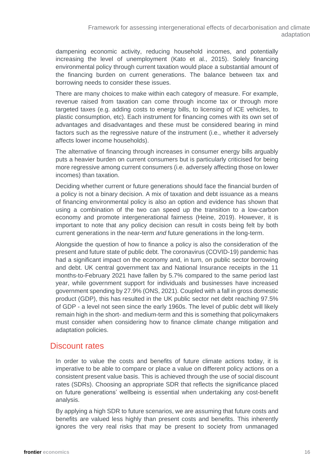dampening economic activity, reducing household incomes, and potentially increasing the level of unemployment (Kato et al., 2015). Solely financing environmental policy through current taxation would place a substantial amount of the financing burden on current generations. The balance between tax and borrowing needs to consider these issues.

There are many choices to make within each category of measure. For example, revenue raised from taxation can come through income tax or through more targeted taxes (e.g. adding costs to energy bills, to licensing of ICE vehicles, to plastic consumption, etc). Each instrument for financing comes with its own set of advantages and disadvantages and these must be considered bearing in mind factors such as the regressive nature of the instrument (i.e., whether it adversely affects lower income households).

The alternative of financing through increases in consumer energy bills arguably puts a heavier burden on current consumers but is particularly criticised for being more regressive among current consumers (i.e. adversely affecting those on lower incomes) than taxation.

Deciding whether current or future generations should face the financial burden of a policy is not a binary decision. A mix of taxation and debt issuance as a means of financing environmental policy is also an option and evidence has shown that using a combination of the two can speed up the transition to a low-carbon economy and promote intergenerational fairness (Heine, 2019). However, it is important to note that any policy decision can result in costs being felt by both current generations in the near-term *and* future generations in the long-term.

Alongside the question of how to finance a policy is also the consideration of the present and future state of public debt. The coronavirus (COVID-19) pandemic has had a significant impact on the economy and, in turn, on public sector borrowing and debt. UK central government tax and National Insurance receipts in the 11 months-to-February 2021 have fallen by 5.7% compared to the same period last year, while government support for individuals and businesses have increased government spending by 27.9% (ONS, 2021). Coupled with a fall in gross domestic product (GDP), this has resulted in the UK public sector net debt reaching 97.5% of GDP - a level not seen since the early 1960s. The level of public debt will likely remain high in the short- and medium-term and this is something that policymakers must consider when considering how to finance climate change mitigation and adaptation policies.

### <span id="page-15-0"></span>Discount rates

In order to value the costs and benefits of future climate actions today, it is imperative to be able to compare or place a value on different policy actions on a consistent present value basis. This is achieved through the use of social discount rates (SDRs). Choosing an appropriate SDR that reflects the significance placed on future generations' wellbeing is essential when undertaking any cost-benefit analysis.

By applying a high SDR to future scenarios, we are assuming that future costs and benefits are valued less highly than present costs and benefits. This inherently ignores the very real risks that may be present to society from unmanaged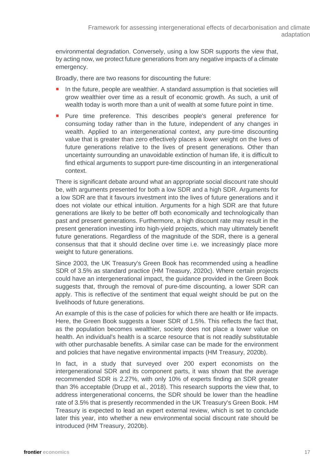environmental degradation. Conversely, using a low SDR supports the view that, by acting now, we protect future generations from any negative impacts of a climate emergency.

Broadly, there are two reasons for discounting the future:

- In the future, people are wealthier. A standard assumption is that societies will grow wealthier over time as a result of economic growth. As such, a unit of wealth today is worth more than a unit of wealth at some future point in time.
- **Pure time preference. This describes people's general preference for** consuming today rather than in the future, independent of any changes in wealth. Applied to an intergenerational context, any pure-time discounting value that is greater than zero effectively places a lower weight on the lives of future generations relative to the lives of present generations. Other than uncertainty surrounding an unavoidable extinction of human life, it is difficult to find ethical arguments to support pure-time discounting in an intergenerational context.

There is significant debate around what an appropriate social discount rate should be, with arguments presented for both a low SDR and a high SDR. Arguments for a low SDR are that it favours investment into the lives of future generations and it does not violate our ethical intuition. Arguments for a high SDR are that future generations are likely to be better off both economically and technologically than past and present generations. Furthermore, a high discount rate may result in the present generation investing into high-yield projects, which may ultimately benefit future generations. Regardless of the magnitude of the SDR, there is a general consensus that that it should decline over time i.e. we increasingly place more weight to future generations.

Since 2003, the UK Treasury's Green Book has recommended using a headline SDR of 3.5% as standard practice (HM Treasury, 2020c). Where certain projects could have an intergenerational impact, the guidance provided in the Green Book suggests that, through the removal of pure-time discounting, a lower SDR can apply. This is reflective of the sentiment that equal weight should be put on the livelihoods of future generations.

An example of this is the case of policies for which there are health or life impacts. Here, the Green Book suggests a lower SDR of 1.5%. This reflects the fact that, as the population becomes wealthier, society does not place a lower value on health. An individual's health is a scarce resource that is not readily substitutable with other purchasable benefits. A similar case can be made for the environment and policies that have negative environmental impacts (HM Treasury, 2020b).

In fact, in a study that surveyed over 200 expert economists on the intergenerational SDR and its component parts, it was shown that the average recommended SDR is 2.27%, with only 10% of experts finding an SDR greater than 3% acceptable (Drupp et al., 2018). This research supports the view that, to address intergenerational concerns, the SDR should be lower than the headline rate of 3.5% that is presently recommended in the UK Treasury's Green Book. HM Treasury is expected to lead an expert external review, which is set to conclude later this year, into whether a new environmental social discount rate should be introduced (HM Treasury, 2020b).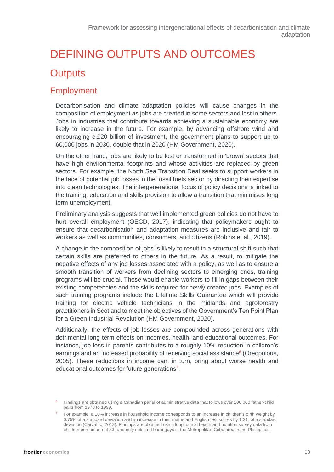### <span id="page-17-0"></span>DEFINING OUTPUTS AND OUTCOMES

### <span id="page-17-1"></span>**Outputs**

### Employment

Decarbonisation and climate adaptation policies will cause changes in the composition of employment as jobs are created in some sectors and lost in others. Jobs in industries that contribute towards achieving a sustainable economy are likely to increase in the future. For example, by advancing offshore wind and encouraging c.£20 billion of investment, the government plans to support up to 60,000 jobs in 2030, double that in 2020 (HM Government, 2020).

On the other hand, jobs are likely to be lost or transformed in 'brown' sectors that have high environmental footprints and whose activities are replaced by green sectors. For example, the North Sea Transition Deal seeks to support workers in the face of potential job losses in the fossil fuels sector by directing their expertise into clean technologies. The intergenerational focus of policy decisions is linked to the training, education and skills provision to allow a transition that minimises long term unemployment.

Preliminary analysis suggests that well implemented green policies do not have to hurt overall employment (OECD, 2017), indicating that policymakers ought to ensure that decarbonisation and adaptation measures are inclusive and fair to workers as well as communities, consumers, and citizens (Robins et al., 2019).

A change in the composition of jobs is likely to result in a structural shift such that certain skills are preferred to others in the future. As a result, to mitigate the negative effects of any job losses associated with a policy, as well as to ensure a smooth transition of workers from declining sectors to emerging ones, training programs will be crucial. These would enable workers to fill in gaps between their existing competencies and the skills required for newly created jobs. Examples of such training programs include the Lifetime Skills Guarantee which will provide training for electric vehicle technicians in the midlands and agroforestry practitioners in Scotland to meet the objectives of the Government's Ten Point Plan for a Green Industrial Revolution (HM Government, 2020).

Additionally, the effects of job losses are compounded across generations with detrimental long-term effects on incomes, health, and educational outcomes. For instance, job loss in parents contributes to a roughly 10% reduction in children's earnings and an increased probability of receiving social assistance<sup>6</sup> (Oreopolous, 2005). These reductions in income can, in turn, bring about worse health and educational outcomes for future generations<sup>7</sup>.

<sup>6</sup> Findings are obtained using a Canadian panel of administrative data that follows over 100,000 father-child pairs from 1978 to 1999.

For example, a 10% increase in household income corresponds to an increase in children's birth weight by 0.75% of a standard deviation and an increase in their maths and English test scores by 1.2% of a standard deviation (Carvalho, 2012). Findings are obtained using longitudinal health and nutrition survey data from children born in one of 33 randomly selected barangays in the Metropolitan Cebu area in the Philippines.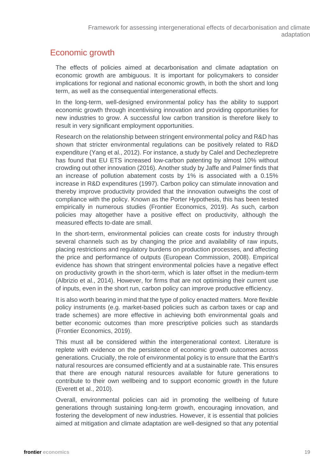### Economic growth

The effects of policies aimed at decarbonisation and climate adaptation on economic growth are ambiguous. It is important for policymakers to consider implications for regional and national economic growth, in both the short and long term, as well as the consequential intergenerational effects.

In the long-term, well-designed environmental policy has the ability to support economic growth through incentivising innovation and providing opportunities for new industries to grow. A successful low carbon transition is therefore likely to result in very significant employment opportunities.

Research on the relationship between stringent environmental policy and R&D has shown that stricter environmental regulations can be positively related to R&D expenditure (Yang et al., 2012). For instance, a study by Calel and Dechezlepretre has found that EU ETS increased low-carbon patenting by almost 10% without crowding out other innovation (2016). Another study by Jaffe and Palmer finds that an increase of pollution abatement costs by 1% is associated with a 0.15% increase in R&D expenditures (1997). Carbon policy can stimulate innovation and thereby improve productivity provided that the innovation outweighs the cost of compliance with the policy. Known as the Porter Hypothesis, this has been tested empirically in numerous studies (Frontier Economics, 2019). As such, carbon policies may altogether have a positive effect on productivity, although the measured effects to-date are small.

In the short-term, environmental policies can create costs for industry through several channels such as by changing the price and availability of raw inputs, placing restrictions and regulatory burdens on production processes, and affecting the price and performance of outputs (European Commission, 2008). Empirical evidence has shown that stringent environmental policies have a negative effect on productivity growth in the short-term, which is later offset in the medium-term (Albrizio et al., 2014). However, for firms that are not optimising their current use of inputs, even in the short run, carbon policy can improve productive efficiency.

It is also worth bearing in mind that the type of policy enacted matters. More flexible policy instruments (e.g. market-based policies such as carbon taxes or cap and trade schemes) are more effective in achieving both environmental goals and better economic outcomes than more prescriptive policies such as standards (Frontier Economics, 2019).

This must all be considered within the intergenerational context. Literature is replete with evidence on the persistence of economic growth outcomes across generations. Crucially, the role of environmental policy is to ensure that the Earth's natural resources are consumed efficiently and at a sustainable rate. This ensures that there are enough natural resources available for future generations to contribute to their own wellbeing and to support economic growth in the future (Everett et al., 2010).

Overall, environmental policies can aid in promoting the wellbeing of future generations through sustaining long-term growth, encouraging innovation, and fostering the development of new industries. However, it is essential that policies aimed at mitigation and climate adaptation are well-designed so that any potential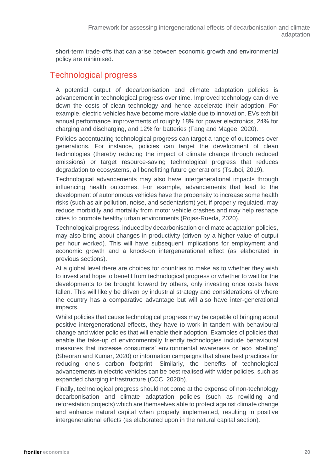short-term trade-offs that can arise between economic growth and environmental policy are minimised.

### Technological progress

A potential output of decarbonisation and climate adaptation policies is advancement in technological progress over time. Improved technology can drive down the costs of clean technology and hence accelerate their adoption. For example, electric vehicles have become more viable due to innovation. EVs exhibit annual performance improvements of roughly 18% for power electronics, 24% for charging and discharging, and 12% for batteries (Fang and Magee, 2020).

Policies accentuating technological progress can target a range of outcomes over generations. For instance, policies can target the development of clean technologies (thereby reducing the impact of climate change through reduced emissions) or target resource-saving technological progress that reduces degradation to ecosystems, all benefitting future generations (Tsuboi, 2019).

Technological advancements may also have intergenerational impacts through influencing health outcomes. For example, advancements that lead to the development of autonomous vehicles have the propensity to increase some health risks (such as air pollution, noise, and sedentarism) yet, if properly regulated, may reduce morbidity and mortality from motor vehicle crashes and may help reshape cities to promote healthy urban environments (Rojas-Rueda, 2020).

Technological progress, induced by decarbonisation or climate adaptation policies, may also bring about changes in productivity (driven by a higher value of output per hour worked). This will have subsequent implications for employment and economic growth and a knock-on intergenerational effect (as elaborated in previous sections).

At a global level there are choices for countries to make as to whether they wish to invest and hope to benefit from technological progress or whether to wait for the developments to be brought forward by others, only investing once costs have fallen. This will likely be driven by industrial strategy and considerations of where the country has a comparative advantage but will also have inter-generational impacts.

Whilst policies that cause technological progress may be capable of bringing about positive intergenerational effects, they have to work in tandem with behavioural change and wider policies that will enable their adoption. Examples of policies that enable the take-up of environmentally friendly technologies include behavioural measures that increase consumers' environmental awareness or 'eco labelling' (Sheoran and Kumar, 2020) or information campaigns that share best practices for reducing one's carbon footprint. Similarly, the benefits of technological advancements in electric vehicles can be best realised with wider policies, such as expanded charging infrastructure (CCC, 2020b).

Finally, technological progress should not come at the expense of non-technology decarbonisation and climate adaptation policies (such as rewilding and reforestation projects) which are themselves able to protect against climate change and enhance natural capital when properly implemented, resulting in positive intergenerational effects (as elaborated upon in the natural capital section).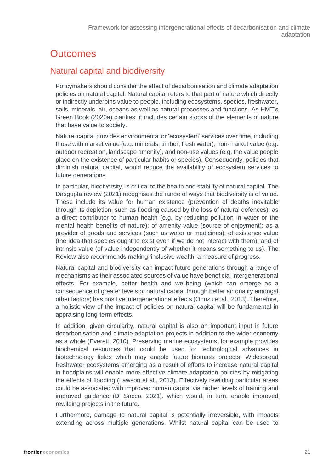### <span id="page-20-0"></span>**Outcomes**

### <span id="page-20-1"></span>Natural capital and biodiversity

Policymakers should consider the effect of decarbonisation and climate adaptation policies on natural capital. Natural capital refers to that part of nature which directly or indirectly underpins value to people, including ecosystems, species, freshwater, soils, minerals, air, oceans as well as natural processes and functions. As HMT's Green Book (2020a) clarifies, it includes certain stocks of the elements of nature that have value to society.

Natural capital provides environmental or 'ecosystem' services over time, including those with market value (e.g. minerals, timber, fresh water), non-market value (e.g. outdoor recreation, landscape amenity), and non-use values (e.g. the value people place on the existence of particular habits or species). Consequently, policies that diminish natural capital, would reduce the availability of ecosystem services to future generations.

In particular, biodiversity, is critical to the health and stability of natural capital. The Dasgupta review (2021) recognises the range of ways that biodiversity is of value. These include its value for human existence (prevention of deaths inevitable through its depletion, such as flooding caused by the loss of natural defences); as a direct contributor to human health (e.g. by reducing pollution in water or the mental health benefits of nature); of amenity value (source of enjoyment); as a provider of goods and services (such as water or medicines); of existence value (the idea that species ought to exist even if we do not interact with them); and of intrinsic value (of value independently of whether it means something to us). The Review also recommends making 'inclusive wealth' a measure of progress.

Natural capital and biodiversity can impact future generations through a range of mechanisms as their associated sources of value have beneficial intergenerational effects. For example, better health and wellbeing (which can emerge as a consequence of greater levels of natural capital through better air quality amongst other factors) has positive intergenerational effects (Onuzu et al., 2013). Therefore, a holistic view of the impact of policies on natural capital will be fundamental in appraising long-term effects.

In addition, given circularity, natural capital is also an important input in future decarbonisation and climate adaptation projects in addition to the wider economy as a whole (Everett, 2010). Preserving marine ecosystems, for example provides biochemical resources that could be used for technological advances in biotechnology fields which may enable future biomass projects. Widespread freshwater ecosystems emerging as a result of efforts to increase natural capital in floodplains will enable more effective climate adaptation policies by mitigating the effects of flooding (Lawson et al., 2013). Effectively rewilding particular areas could be associated with improved human capital via higher levels of training and improved guidance (Di Sacco, 2021), which would, in turn, enable improved rewilding projects in the future.

Furthermore, damage to natural capital is potentially irreversible, with impacts extending across multiple generations. Whilst natural capital can be used to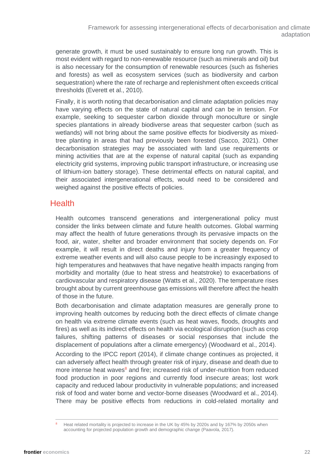generate growth, it must be used sustainably to ensure long run growth. This is most evident with regard to non-renewable resource (such as minerals and oil) but is also necessary for the consumption of renewable resources (such as fisheries and forests) as well as ecosystem services (such as biodiversity and carbon sequestration) where the rate of recharge and replenishment often exceeds critical thresholds (Everett et al., 2010).

Finally, it is worth noting that decarbonisation and climate adaptation policies may have varying effects on the state of natural capital and can be in tension. For example, seeking to sequester carbon dioxide through monoculture or single species plantations in already biodiverse areas that sequester carbon (such as wetlands) will not bring about the same positive effects for biodiversity as mixedtree planting in areas that had previously been forested (Sacco, 2021). Other decarbonisation strategies may be associated with land use requirements or mining activities that are at the expense of natural capital (such as expanding electricity grid systems, improving public transport infrastructure, or increasing use of lithium-ion battery storage). These detrimental effects on natural capital, and their associated intergenerational effects, would need to be considered and weighed against the positive effects of policies.

### **Health**

Health outcomes transcend generations and intergenerational policy must consider the links between climate and future health outcomes. Global warming may affect the health of future generations through its pervasive impacts on the food, air, water, shelter and broader environment that society depends on. For example, it will result in direct deaths and injury from a greater frequency of extreme weather events and will also cause people to be increasingly exposed to high temperatures and heatwaves that have negative health impacts ranging from morbidity and mortality (due to heat stress and heatstroke) to exacerbations of cardiovascular and respiratory disease (Watts et al., 2020). The temperature rises brought about by current greenhouse gas emissions will therefore affect the health of those in the future.

Both decarbonisation and climate adaptation measures are generally prone to improving health outcomes by reducing both the direct effects of climate change on health via extreme climate events (such as heat waves, floods, droughts and fires) as well as its indirect effects on health via ecological disruption (such as crop failures, shifting patterns of diseases or social responses that include the displacement of populations after a climate emergency) (Woodward et al., 2014).

According to the IPCC report (2014), if climate change continues as projected, it can adversely affect health through greater risk of injury, disease and death due to more intense heat waves<sup>8</sup> and fire; increased risk of under-nutrition from reduced food production in poor regions and currently food insecure areas; lost work capacity and reduced labour productivity in vulnerable populations; and increased risk of food and water borne and vector-borne diseases (Woodward et al., 2014). There may be positive effects from reductions in cold-related mortality and

Heat related mortality is projected to increase in the UK by 45% by 2020s and by 167% by 2050s when accounting for projected population growth and demographic change (Paavola, 2017).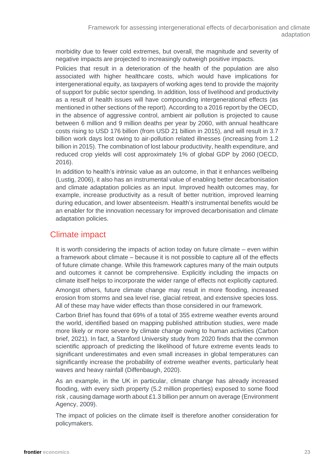morbidity due to fewer cold extremes, but overall, the magnitude and severity of negative impacts are projected to increasingly outweigh positive impacts.

Policies that result in a deterioration of the health of the population are also associated with higher healthcare costs, which would have implications for intergenerational equity, as taxpayers of working ages tend to provide the majority of support for public sector spending. In addition, loss of livelihood and productivity as a result of health issues will have compounding intergenerational effects (as mentioned in other sections of the report). According to a 2016 report by the OECD, in the absence of aggressive control, ambient air pollution is projected to cause between 6 million and 9 million deaths per year by 2060, with annual healthcare costs rising to USD 176 billion (from USD 21 billion in 2015), and will result in 3.7 billion work days lost owing to air-pollution related illnesses (increasing from 1.2 billion in 2015). The combination of lost labour productivity, health expenditure, and reduced crop yields will cost approximately 1% of global GDP by 2060 (OECD, 2016).

In addition to health's intrinsic value as an outcome, in that it enhances wellbeing (Lustig, 2006), it also has an instrumental value of enabling better decarbonisation and climate adaptation policies as an input. Improved health outcomes may, for example, increase productivity as a result of better nutrition, improved learning during education, and lower absenteeism. Health's instrumental benefits would be an enabler for the innovation necessary for improved decarbonisation and climate adaptation policies.

### Climate impact

It is worth considering the impacts of action today on future climate – even within a framework about climate – because it is not possible to capture all of the effects of future climate change. While this framework captures many of the main outputs and outcomes it cannot be comprehensive. Explicitly including the impacts on climate itself helps to incorporate the wider range of effects not explicitly captured.

Amongst others, future climate change may result in more flooding, increased erosion from storms and sea level rise, glacial retreat, and extensive species loss. All of these may have wider effects than those considered in our framework.

Carbon Brief has found that 69% of a total of 355 extreme weather events around the world, identified based on mapping published attribution studies, were made more likely or more severe by climate change owing to human activities (Carbon brief, 2021). In fact, a Stanford University study from 2020 finds that the common scientific approach of predicting the likelihood of future extreme events leads to significant underestimates and even small increases in global temperatures can significantly increase the probability of extreme weather events, particularly heat waves and heavy rainfall (Diffenbaugh, 2020).

As an example, in the UK in particular, climate change has already increased flooding, with every sixth property (5.2 million properties) exposed to some flood risk , causing damage worth about £1.3 billion per annum on average (Environment Agency, 2009).

The impact of policies on the climate itself is therefore another consideration for policymakers.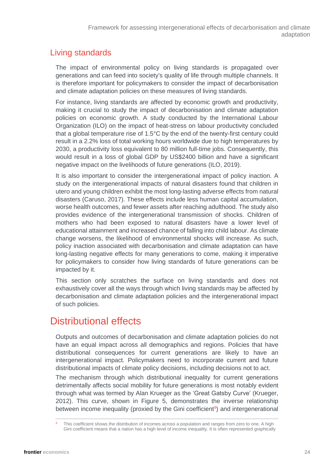### Living standards

The impact of environmental policy on living standards is propagated over generations and can feed into society's quality of life through multiple channels. It is therefore important for policymakers to consider the impact of decarbonisation and climate adaptation policies on these measures of living standards.

For instance, living standards are affected by economic growth and productivity, making it crucial to study the impact of decarbonisation and climate adaptation policies on economic growth. A study conducted by the International Labour Organization (ILO) on the impact of heat-stress on labour productivity concluded that a global temperature rise of 1.5°C by the end of the twenty-first century could result in a 2.2% loss of total working hours worldwide due to high temperatures by 2030, a productivity loss equivalent to 80 million full-time jobs. Consequently, this would result in a loss of global GDP by US\$2400 billion and have a significant negative impact on the livelihoods of future generations (ILO, 2019).

It is also important to consider the intergenerational impact of policy inaction. A study on the intergenerational impacts of natural disasters found that children in utero and young children exhibit the most long-lasting adverse effects from natural disasters (Caruso, 2017). These effects include less human capital accumulation, worse health outcomes, and fewer assets after reaching adulthood. The study also provides evidence of the intergenerational transmission of shocks. Children of mothers who had been exposed to natural disasters have a lower level of educational attainment and increased chance of falling into child labour. As climate change worsens, the likelihood of environmental shocks will increase. As such, policy inaction associated with decarbonisation and climate adaptation can have long-lasting negative effects for many generations to come, making it imperative for policymakers to consider how living standards of future generations can be impacted by it.

This section only scratches the surface on living standards and does not exhaustively cover all the ways through which living standards may be affected by decarbonisation and climate adaptation policies and the intergenerational impact of such policies.

### <span id="page-23-0"></span>Distributional effects

Outputs and outcomes of decarbonisation and climate adaptation policies do not have an equal impact across all demographics and regions. Policies that have distributional consequences for current generations are likely to have an intergenerational impact. Policymakers need to incorporate current and future distributional impacts of climate policy decisions, including decisions not to act.

The mechanism through which distributional inequality for current generations detrimentally affects social mobility for future generations is most notably evident through what was termed by Alan Krueger as the 'Great Gatsby Curve' (Krueger, 2012). This curve, shown in [Figure 5,](#page-24-0) demonstrates the inverse relationship between income inequality (proxied by the Gini coefficient<sup>9</sup>) and intergenerational

This coefficient shows the distribution of incomes across a population and ranges from zero to one. A high Gini coefficient means that a nation has a high level of income inequality. It is often represented graphically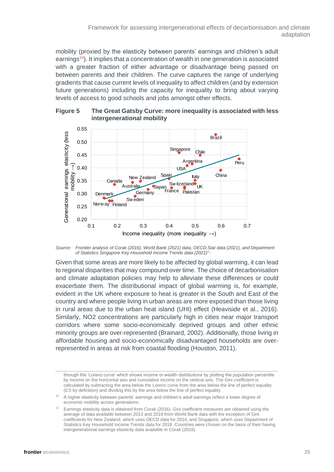mobility (proxied by the elasticity between parents' earnings and children's adult earnings<sup>10</sup>). It implies that a concentration of wealth in one generation is associated with a greater fraction of either advantage or disadvantage being passed on between parents and their children. The curve captures the range of underlying gradients that cause current levels of inequality to affect children (and by extension future generations) including the capacity for inequality to bring about varying levels of access to good schools and jobs amongst other effects.

<span id="page-24-0"></span>



*Source: Frontier analysis of Corak (2016), World Bank (2021) data, OECD.Stat data (2021), and Department of Statistics Singapore Key Household Income Trends data (2021)<sup>11</sup> .*

Given that some areas are more likely to be affected by global warming, it can lead to regional disparities that may compound over time. The choice of decarbonisation and climate adaptation policies may help to alleviate these differences or could exacerbate them. The distributional impact of global warming is, for example, evident in the UK where exposure to heat is greater in the South and East of the country and where people living in urban areas are more exposed than those living in rural areas due to the urban heat island (UHI) effect (Heaviside et al., 2016). Similarly, NO2 concentrations are particularly high in cities near major transport corridors where some socio-economically deprived groups and other ethnic minority groups are over-represented (Brainard, 2002). Additionally, those living in affordable housing and socio-economically disadvantaged households are overrepresented in areas at risk from coastal flooding (Houston, 2011).

through the 'Lorenz curve' which shows income or wealth distributions by plotting the population percentile by income on the horizontal axis and cumulative income on the vertical axis. The Gini coefficient is calculated by subtracting the area below the Lorenz curve from the area below the line of perfect equality (0.5 by definition) and dividing this by the area below the line of perfect equality.

<sup>10</sup> A higher elasticity between parents' earnings and children's adult earnings reflect a lower degree of economic mobility across generations.

<sup>11</sup> Earnings elasticity data is obtained from Corak (2016). Gini coefficient measures are obtained using the average of data available between 2013 and 2018 from World Bank data with the exception of Gini coefficients for New Zealand, which uses OECD data for 2014, and Singapore, which uses Department of Statistics Key Household Income Trends data for 2018. Countries were chosen on the basis of their having intergenerational earnings elasticity data available in Corak (2016).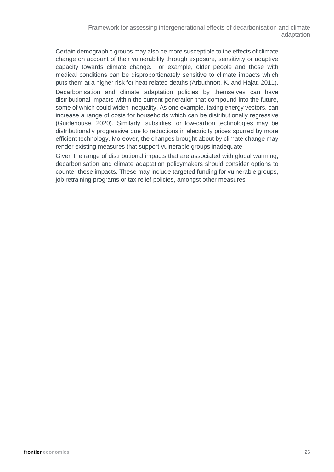Certain demographic groups may also be more susceptible to the effects of climate change on account of their vulnerability through exposure, sensitivity or adaptive capacity towards climate change. For example, older people and those with medical conditions can be disproportionately sensitive to climate impacts which puts them at a higher risk for heat related deaths (Arbuthnott, K. and Hajat, 2011). Decarbonisation and climate adaptation policies by themselves can have distributional impacts within the current generation that compound into the future, some of which could widen inequality. As one example, taxing energy vectors, can increase a range of costs for households which can be distributionally regressive (Guidehouse, 2020). Similarly, subsidies for low-carbon technologies may be distributionally progressive due to reductions in electricity prices spurred by more efficient technology. Moreover, the changes brought about by climate change may render existing measures that support vulnerable groups inadequate.

Given the range of distributional impacts that are associated with global warming, decarbonisation and climate adaptation policymakers should consider options to counter these impacts. These may include targeted funding for vulnerable groups, job retraining programs or tax relief policies, amongst other measures.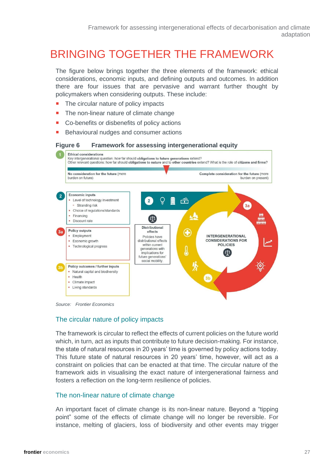### <span id="page-26-0"></span>BRINGING TOGETHER THE FRAMEWORK

The figure below brings together the three elements of the framework: ethical considerations, economic inputs, and defining outputs and outcomes. In addition there are four issues that are pervasive and warrant further thought by policymakers when considering outputs. These include:

- The circular nature of policy impacts
- The non-linear nature of climate change
- Co-benefits or disbenefits of policy actions
- Behavioural nudges and consumer actions

#### **Figure 6 Framework for assessing intergenerational equity**





### The circular nature of policy impacts

The framework is circular to reflect the effects of current policies on the future world which, in turn, act as inputs that contribute to future decision-making. For instance, the state of natural resources in 20 years' time is governed by policy actions today. This future state of natural resources in 20 years' time, however, will act as a constraint on policies that can be enacted at that time. The circular nature of the framework aids in visualising the exact nature of intergenerational fairness and fosters a reflection on the long-term resilience of policies.

#### The non-linear nature of climate change

An important facet of climate change is its non-linear nature. Beyond a "tipping point" some of the effects of climate change will no longer be reversible. For instance, melting of glaciers, loss of biodiversity and other events may trigger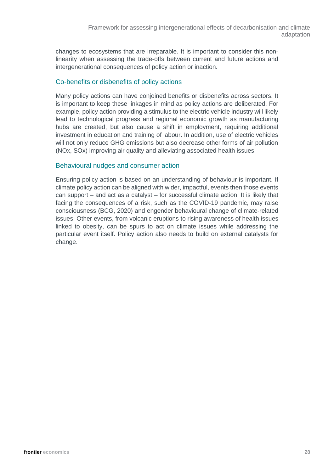changes to ecosystems that are irreparable. It is important to consider this nonlinearity when assessing the trade-offs between current and future actions and intergenerational consequences of policy action or inaction.

### Co-benefits or disbenefits of policy actions

Many policy actions can have conjoined benefits or disbenefits across sectors. It is important to keep these linkages in mind as policy actions are deliberated. For example, policy action providing a stimulus to the electric vehicle industry will likely lead to technological progress and regional economic growth as manufacturing hubs are created, but also cause a shift in employment, requiring additional investment in education and training of labour. In addition, use of electric vehicles will not only reduce GHG emissions but also decrease other forms of air pollution (NOx, SOx) improving air quality and alleviating associated health issues.

### Behavioural nudges and consumer action

Ensuring policy action is based on an understanding of behaviour is important. If climate policy action can be aligned with wider, impactful, events then those events can support – and act as a catalyst – for successful climate action. It is likely that facing the consequences of a risk, such as the COVID-19 pandemic, may raise consciousness (BCG, 2020) and engender behavioural change of climate-related issues. Other events, from volcanic eruptions to rising awareness of health issues linked to obesity, can be spurs to act on climate issues while addressing the particular event itself. Policy action also needs to build on external catalysts for change.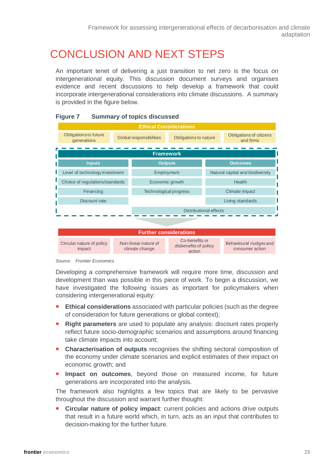## <span id="page-28-0"></span>CONCLUSION AND NEXT STEPS

An important tenet of delivering a just transition to net zero is the focus on intergenerational equity. This discussion document surveys and organises evidence and recent discussions to help develop a framework that could incorporate intergenerational considerations into climate discussions. A summary is provided in the figure below.



#### **Figure 7 Summary of topics discussed**



Developing a comprehensive framework will require more time, discussion and development than was possible in this piece of work. To begin a discussion, we have investigated the following issues as important for policymakers when considering intergenerational equity:

- **Ethical considerations** associated with particular policies (such as the degree of consideration for future generations or global context);
- **Right parameters** are used to populate any analysis: discount rates properly reflect future socio-demographic scenarios and assumptions around financing take climate impacts into account;
- **Characterisation of outputs** recognises the shifting sectoral composition of the economy under climate scenarios and explicit estimates of their impact on economic growth; and
- **Impact on outcomes**, beyond those on measured income, for future generations are incorporated into the analysis.

The framework also highlights a few topics that are likely to be pervasive throughout the discussion and warrant further thought:

 **Circular nature of policy impact**: current policies and actions drive outputs that result in a future world which, in turn, acts as an input that contributes to decision-making for the further future.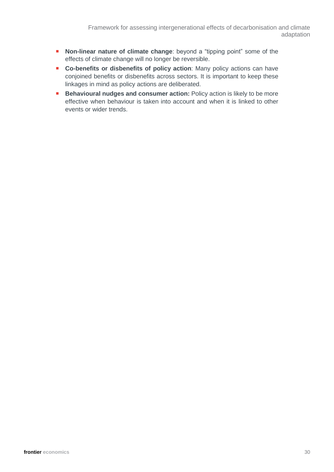- **Non-linear nature of climate change**: beyond a "tipping point" some of the effects of climate change will no longer be reversible.
- **Co-benefits or disbenefits of policy action**: Many policy actions can have conjoined benefits or disbenefits across sectors. It is important to keep these linkages in mind as policy actions are deliberated.
- **Behavioural nudges and consumer action:** Policy action is likely to be more effective when behaviour is taken into account and when it is linked to other events or wider trends.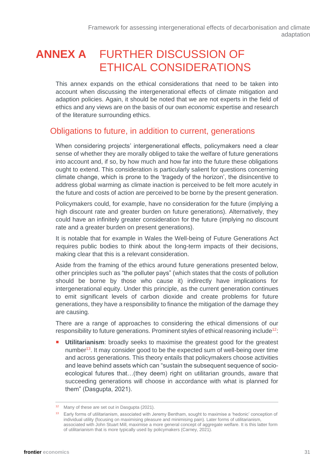### <span id="page-30-0"></span>**ANNEX A** FURTHER DISCUSSION OF ETHICAL CONSIDERATIONS

This annex expands on the ethical considerations that need to be taken into account when discussing the intergenerational effects of climate mitigation and adaption policies. Again, it should be noted that we are not experts in the field of ethics and any views are on the basis of our own *economic* expertise and research of the literature surrounding ethics.

### Obligations to future, in addition to current, generations

When considering projects' intergenerational effects, policymakers need a clear sense of whether they are morally obliged to take the welfare of future generations into account and, if so, by how much and how far into the future these obligations ought to extend. This consideration is particularly salient for questions concerning climate change, which is prone to the 'tragedy of the horizon', the disincentive to address global warming as climate inaction is perceived to be felt more acutely in the future and costs of action are perceived to be borne by the present generation.

Policymakers could, for example, have no consideration for the future (implying a high discount rate and greater burden on future generations). Alternatively, they could have an infinitely greater consideration for the future (implying no discount rate and a greater burden on present generations).

It is notable that for example in Wales the Well-being of Future Generations Act requires public bodies to think about the long-term impacts of their decisions, making clear that this is a relevant consideration.

Aside from the framing of the ethics around future generations presented below, other principles such as "the polluter pays" (which states that the costs of pollution should be borne by those who cause it) indirectly have implications for intergenerational equity. Under this principle, as the current generation continues to emit significant levels of carbon dioxide and create problems for future generations, they have a responsibility to finance the mitigation of the damage they are causing.

There are a range of approaches to considering the ethical dimensions of our responsibility to future generations. Prominent styles of ethical reasoning include<sup>12</sup>:

**Utilitarianism**: broadly seeks to maximise the greatest good for the greatest number<sup>13</sup>. It may consider good to be the expected sum of well-being over time and across generations. This theory entails that policymakers choose activities and leave behind assets which can "sustain the subsequent sequence of socioecological futures that…(they deem) right on utilitarian grounds, aware that succeeding generations will choose in accordance with what is planned for them" (Dasgupta, 2021).

<sup>&</sup>lt;sup>12</sup> Many of these are set out in Dasgupta (2021).

<sup>13</sup> Early forms of utilitarianism, associated with Jeremy Bentham, sought to maximise a 'hedonic' conception of individual utility (focusing on maximising pleasure and minimising pain). Later forms of utilitarianism, associated with John Stuart Mill, maximise a more general concept of aggregate welfare. It is this latter form of utilitarianism that is more typically used by policymakers (Carney, 2021).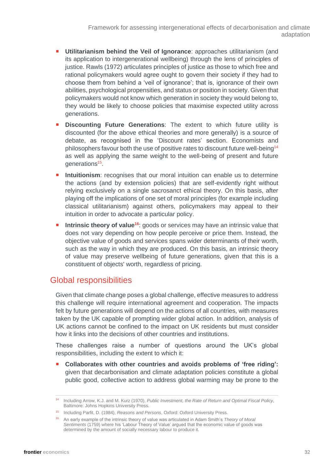- **Utilitarianism behind the Veil of Ignorance:** approaches utilitarianism (and its application to intergenerational wellbeing) through the lens of principles of justice. Rawls (1972) articulates principles of justice as those to which free and rational policymakers would agree ought to govern their society if they had to choose them from behind a 'veil of ignorance'; that is, ignorance of their own abilities, psychological propensities, and status or position in society. Given that policymakers would not know which generation in society they would belong to, they would be likely to choose policies that maximise expected utility across generations.
- **Discounting Future Generations**: The extent to which future utility is discounted (for the above ethical theories and more generally) is a source of debate, as recognised in the ['Discount rates'](#page-15-0) section. Economists and philosophers favour both the use of positive rates to discount future well-being<sup>14</sup> as well as applying the same weight to the well-being of present and future generations<sup>15</sup>.
- **Intuitionism**: recognises that our moral intuition can enable us to determine the actions (and by extension policies) that are self-evidently right without relying exclusively on a single sacrosanct ethical theory. On this basis, after playing off the implications of one set of moral principles (for example including classical utilitarianism) against others, policymakers may appeal to their intuition in order to advocate a particular policy.
- **Intrinsic theory of value<sup>16</sup>**: goods or services may have an intrinsic value that does not vary depending on how people perceive or price them. Instead, the objective value of goods and services spans wider determinants of their worth, such as the way in which they are produced. On this basis, an intrinsic theory of value may preserve wellbeing of future generations, given that this is a constituent of objects' worth, regardless of pricing.

### Global responsibilities

Given that climate change poses a global challenge, effective measures to address this challenge will require international agreement and cooperation. The impacts felt by future generations will depend on the actions of all countries, with measures taken by the UK capable of prompting wider global action. In addition, analysis of UK actions cannot be confined to the impact on UK residents but must consider how it links into the decisions of other countries and institutions.

These challenges raise a number of questions around the UK's global responsibilities, including the extent to which it:

 **Collaborates with other countries and avoids problems of 'free riding':** given that decarbonisation and climate adaptation policies constitute a global public good, collective action to address global warming may be prone to the

<sup>14</sup> Including Arrow, K.J. and M. Kurz (1970), *Public Investment, the Rate of Return and Optimal Fiscal Policy,* Baltimore: Johns Hopkins University Press.

<sup>15</sup> Including Parfit, D. (1984), *Reasons and Persons*, Oxford: Oxford University Press.

<sup>16</sup> An early example of the intrinsic theory of value was articulated in Adam Smith's *Theory of Moral Sentiments* (1759) where his 'Labour Theory of Value' argued that the economic value of goods was determined by the amount of socially necessary labour to produce it.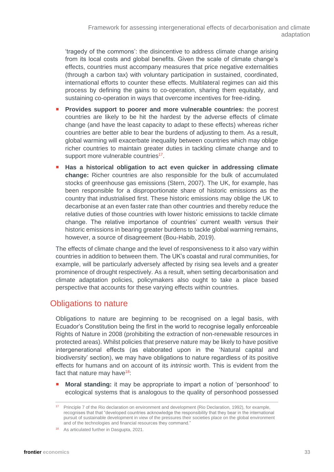'tragedy of the commons': the disincentive to address climate change arising from its local costs and global benefits. Given the scale of climate change's effects, countries must accompany measures that price negative externalities (through a carbon tax) with voluntary participation in sustained, coordinated, international efforts to counter these effects. Multilateral regimes can aid this process by defining the gains to co-operation, sharing them equitably, and sustaining co-operation in ways that overcome incentives for free-riding.

- **Provides support to poorer and more vulnerable countries:** the poorest countries are likely to be hit the hardest by the adverse effects of climate change (and have the least capacity to adapt to these effects) whereas richer countries are better able to bear the burdens of adjusting to them. As a result, global warming will exacerbate inequality between countries which may oblige richer countries to maintain greater duties in tackling climate change and to support more vulnerable countries<sup>17</sup>.
- **Has a historical obligation to act even quicker in addressing climate change:** Richer countries are also responsible for the bulk of accumulated stocks of greenhouse gas emissions (Stern, 2007). The UK, for example, has been responsible for a disproportionate share of historic emissions as the country that industrialised first. These historic emissions may oblige the UK to decarbonise at an even faster rate than other countries and thereby reduce the relative duties of those countries with lower historic emissions to tackle climate change. The relative importance of countries' current wealth versus their historic emissions in bearing greater burdens to tackle global warming remains, however, a source of disagreement (Bou-Habib, 2019).

The effects of climate change and the level of responsiveness to it also vary within countries in addition to between them. The UK's coastal and rural communities, for example, will be particularly adversely affected by rising sea levels and a greater prominence of drought respectively. As a result, when setting decarbonisation and climate adaptation policies, policymakers also ought to take a place based perspective that accounts for these varying effects within countries.

### Obligations to nature

Obligations to nature are beginning to be recognised on a legal basis, with Ecuador's Constitution being the first in the world to recognise legally enforceable Rights of Nature in 2008 (prohibiting the extraction of non-renewable resources in protected areas). Whilst policies that preserve nature may be likely to have positive intergenerational effects (as elaborated upon in the ['Natural capital](#page-20-1) and [biodiversity'](#page-20-1) section), we may have obligations to nature regardless of its positive effects for humans and on account of its *intrinsic* worth. This is evident from the fact that nature may have $18$ :

 **Moral standing:** it may be appropriate to impart a notion of 'personhood' to ecological systems that is analogous to the quality of personhood possessed

<sup>17</sup> Principle 7 of the Rio declaration on environment and development (Rio Declaration, 1992), for example, recognises that that "developed countries acknowledge the responsibility that they bear in the international pursuit of sustainable development in view of the pressures their societies place on the global environment and of the technologies and financial resources they command."

<sup>18</sup> As articulated further in Dasgupta, 2021.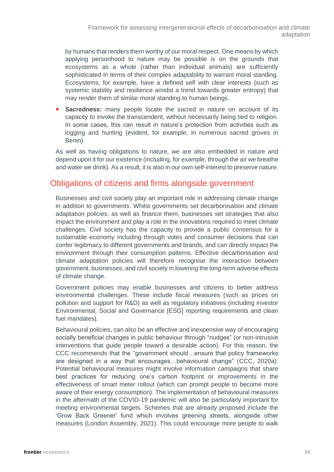by humans that renders them worthy of our moral respect. One means by which applying personhood to nature may be possible is on the grounds that ecosystems as a whole (rather than individual animals) are sufficiently sophisticated in terms of their complex adaptability to warrant moral standing. Ecosystems, for example, have a defined self with clear interests (such as systemic stability and resilience amidst a trend towards greater entropy) that may render them of similar moral standing to human beings.

**Sacredness:** many people locate the sacred in nature on account of its capacity to invoke the transcendent, without necessarily being tied to religion. In some cases, this can result in nature's protection from activities such as logging and hunting (evident, for example, in numerous sacred groves in Benin).

As well as having obligations to nature, we are also embedded in nature and depend upon it for our existence (including, for example, through the air we breathe and water we drink). As a result, it is also in our own self-interest to preserve nature.

### Obligations of citizens and firms alongside government

Businesses and civil society play an important role in addressing climate change in addition to governments. Whilst governments set decarbonisation and climate adaptation policies, as well as finance them, businesses set strategies that also impact the environment and play a role in the innovations required to meet climate challenges. Civil society has the capacity to provide a public consensus for a sustainable economy including through votes and consumer decisions that can confer legitimacy to different governments and brands, and can directly impact the environment through their consumption patterns. Effective decarbonisation and climate adaptation policies will therefore recognise the interaction between government, businesses, and civil society in lowering the long-term adverse effects of climate change.

Government policies may enable businesses and citizens to better address environmental challenges. These include fiscal measures (such as prices on pollution and support for R&D) as well as regulatory initiatives (including investor Environmental, Social and Governance [ESG] reporting requirements and clean fuel mandates).

Behavioural policies, can also be an effective and inexpensive way of encouraging socially beneficial changes in public behaviour through "nudges" (or non-intrusive interventions that guide people toward a desirable action). For this reason, the CCC recommends that the "government should…ensure that policy frameworks are designed in a way that encourages…behavioural change" (CCC, 2020a). Potential behavioural measures might involve information campaigns that share best practices for reducing one's carbon footprint or improvements in the effectiveness of smart meter rollout (which can prompt people to become more aware of their energy consumption). The implementation of behavioural measures in the aftermath of the COVID-19 pandemic will also be particularly important for meeting environmental targets. Schemes that are already proposed include the 'Grow Back Greener' fund which involves greening streets, alongside other measures (London Assembly, 2021). This could encourage more people to walk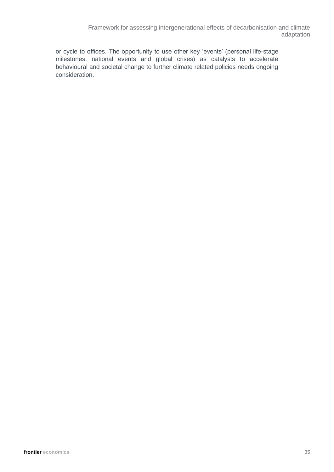Framework for assessing intergenerational effects of decarbonisation and climate adaptation

or cycle to offices. The opportunity to use other key 'events' (personal life-stage milestones, national events and global crises) as catalysts to accelerate behavioural and societal change to further climate related policies needs ongoing consideration.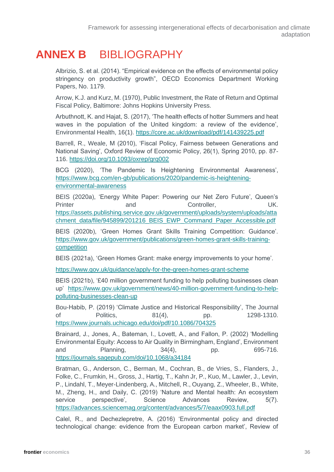### <span id="page-35-0"></span>**ANNEX B** BIBLIOGRAPHY

Albrizio, S. et al. (2014). "Empirical evidence on the effects of environmental policy stringency on productivity growth", OECD Economics Department Working Papers, No. 1179.

Arrow, K.J. and Kurz, M. (1970), Public Investment, the Rate of Return and Optimal Fiscal Policy, Baltimore: Johns Hopkins University Press.

Arbuthnott, K. and Hajat, S. (2017), 'The health effects of hotter Summers and heat waves in the population of the United kingdom: a review of the evidence', Environmental Health, 16(1).<https://core.ac.uk/download/pdf/141439225.pdf>

Barrell, R., Weale, M (2010), 'Fiscal Policy, Fairness between Generations and National Saving', Oxford Review of Economic Policy, 26(1), Spring 2010, pp. 87- 116.<https://doi.org/10.1093/oxrep/grq002>

BCG (2020), 'The Pandemic Is Heightening Environmental Awareness', [https://www.bcg.com/en-gb/publications/2020/pandemic-is-heightening](https://www.bcg.com/en-gb/publications/2020/pandemic-is-heightening-environmental-awareness)[environmental-awareness](https://www.bcg.com/en-gb/publications/2020/pandemic-is-heightening-environmental-awareness)

BEIS (2020a), 'Energy White Paper: Powering our Net Zero Future', Queen's Printer and Controller, UK. [https://assets.publishing.service.gov.uk/government/uploads/system/uploads/atta](https://assets.publishing.service.gov.uk/government/uploads/system/uploads/attachment_data/file/945899/201216_BEIS_EWP_Command_Paper_Accessible.pdf) chment\_data/file/945899/201216\_BEIS\_EWP\_Command\_Paper\_Accessible.pdf

BEIS (2020b), 'Green Homes Grant Skills Training Competition: Guidance'. [https://www.gov.uk/government/publications/green-homes-grant-skills-training](https://www.gov.uk/government/publications/green-homes-grant-skills-training-competition)[competition](https://www.gov.uk/government/publications/green-homes-grant-skills-training-competition)

BEIS (2021a), 'Green Homes Grant: make energy improvements to your home'.

<https://www.gov.uk/guidance/apply-for-the-green-homes-grant-scheme>

BEIS (2021b), '£40 million government funding to help polluting businesses clean up' [https://www.gov.uk/government/news/40-million-government-funding-to-help](https://www.gov.uk/government/news/40-million-government-funding-to-help-polluting-businesses-clean-up)[polluting-businesses-clean-up](https://www.gov.uk/government/news/40-million-government-funding-to-help-polluting-businesses-clean-up)

Bou-Habib, P. (2019) 'Climate Justice and Historical Responsibility', The Journal of Politics, 81(4), pp. 1298-1310. <https://www.journals.uchicago.edu/doi/pdf/10.1086/704325>

Brainard, J., Jones, A., Bateman, I., Lovett, A., and Fallon, P. (2002) 'Modelling Environmental Equity: Access to Air Quality in Birmingham, England', Environment and Planning, 34(4), pp. 695-716. <https://journals.sagepub.com/doi/10.1068/a34184>

Bratman, G., Anderson, C., Berman, M., Cochran, B., de Vries, S., Flanders, J., Folke, C., Frumkin, H., Gross, J., Hartig, T., Kahn Jr, P., Kuo, M., Lawler, J., Levin, P., Lindahl, T., Meyer-Lindenberg, A., Mitchell, R., Ouyang, Z., Wheeler, B., White, M., Zheng, H., and Daily, C. (2019) 'Nature and Mental health: An ecosystem service perspective', Science Advances Review, 5(7). <https://advances.sciencemag.org/content/advances/5/7/eaax0903.full.pdf>

Calel, R., and Dechezlepretre, A. (2016) 'Environmental policy and directed technological change: evidence from the European carbon market', Review of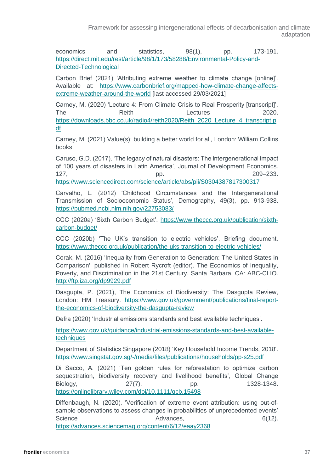economics and statistics, 98(1), pp. 173-191. [https://direct.mit.edu/rest/article/98/1/173/58288/Environmental-Policy-and-](https://direct.mit.edu/rest/article/98/1/173/58288/Environmental-Policy-and-Directed-Technological)[Directed-Technological](https://direct.mit.edu/rest/article/98/1/173/58288/Environmental-Policy-and-Directed-Technological) 

Carbon Brief (2021) 'Attributing extreme weather to climate change [online]'. Available at: [https://www.carbonbrief.org/mapped-how-climate-change-affects](https://www.carbonbrief.org/mapped-how-climate-change-affects-extreme-weather-around-the-world)[extreme-weather-around-the-world](https://www.carbonbrief.org/mapped-how-climate-change-affects-extreme-weather-around-the-world) [last accessed 29/03/2021]

Carney, M. (2020) 'Lecture 4: From Climate Crisis to Real Prosperity [transcript]', The Reith Reith Reverse Reith Reverse Reverse Reverse Reverse Reverse Reverse Reverse Reverse Reverse Reverse R [https://downloads.bbc.co.uk/radio4/reith2020/Reith\\_2020\\_Lecture\\_4\\_transcript.p](https://downloads.bbc.co.uk/radio4/reith2020/Reith_2020_Lecture_4_transcript.pdf) [df](https://downloads.bbc.co.uk/radio4/reith2020/Reith_2020_Lecture_4_transcript.pdf)

Carney, M. (2021) Value(s): building a better world for all, London: William Collins books.

Caruso, G.D. (2017). 'The legacy of natural disasters: The intergenerational impact of 100 years of disasters in Latin America', Journal of Development Economics. 127, 209–233.

<https://www.sciencedirect.com/science/article/abs/pii/S0304387817300317>

Carvalho, L. (2012) 'Childhood Circumstances and the Intergenerational Transmission of Socioeconomic Status', Demography, 49(3), pp. 913-938. <https://pubmed.ncbi.nlm.nih.gov/22753083/>

CCC (2020a) 'Sixth Carbon Budget'. [https://www.theccc.org.uk/publication/sixth](https://www.theccc.org.uk/publication/sixth-carbon-budget/)[carbon-budget/](https://www.theccc.org.uk/publication/sixth-carbon-budget/) 

CCC (2020b) 'The UK's transition to electric vehicles', Briefing document. <https://www.theccc.org.uk/publication/the-uks-transition-to-electric-vehicles/>

Corak, M. (2016) 'Inequality from Generation to Generation: The United States in Comparison', published in Robert Rycroft (editor). The Economics of Inequality, Poverty, and Discrimination in the 21st Century. Santa Barbara, CA: ABC-CLIO. <http://ftp.iza.org/dp9929.pdf>

Dasgupta, P. (2021), The Economics of Biodiversity: The Dasgupta Review, London: HM Treasury. [https://www.gov.uk/government/publications/final-report](https://www.gov.uk/government/publications/final-report-the-economics-of-biodiversity-the-dasgupta-review)[the-economics-of-biodiversity-the-dasgupta-review](https://www.gov.uk/government/publications/final-report-the-economics-of-biodiversity-the-dasgupta-review)

Defra (2020) 'Industrial emissions standards and best available techniques'.

[https://www.gov.uk/guidance/industrial-emissions-standards-and-best-available](https://www.gov.uk/guidance/industrial-emissions-standards-and-best-available-techniques)[techniques](https://www.gov.uk/guidance/industrial-emissions-standards-and-best-available-techniques)

Department of Statistics Singapore (2018) 'Key Household Income Trends, 2018'. <https://www.singstat.gov.sg/-/media/files/publications/households/pp-s25.pdf>

Di Sacco, A. (2021) 'Ten golden rules for reforestation to optimize carbon sequestration, biodiversity recovery and livelihood benefits', Global Change Biology, 27(7), pp. 1328-1348. <https://onlinelibrary.wiley.com/doi/10.1111/gcb.15498>

Diffenbaugh, N. (2020). 'Verification of extreme event attribution: using out-ofsample observations to assess changes in probabilities of unprecedented events' Science **Advances**, **6(12)**, **6** Advances, **6** Advances **6** (12). <https://advances.sciencemag.org/content/6/12/eaay2368>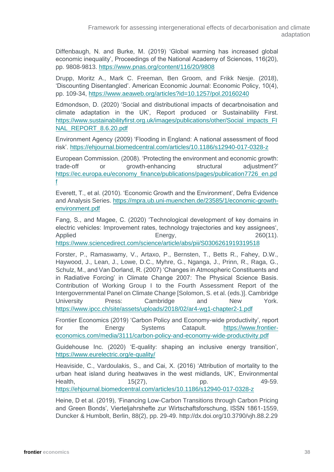Diffenbaugh, N. and Burke, M. (2019) 'Global warming has increased global economic inequality', Proceedings of the National Academy of Sciences, 116(20), pp. 9808-9813.<https://www.pnas.org/content/116/20/9808>

Drupp, Moritz A., Mark C. Freeman, Ben Groom, and Frikk Nesje. (2018), 'Discounting Disentangled'. American Economic Journal: Economic Policy, 10(4), pp. 109-34,<https://www.aeaweb.org/articles?id=10.1257/pol.20160240>

Edmondson, D. (2020) 'Social and distributional impacts of decarbnoisation and climate adaptation in the UK', Report produced or Sustainability First. [https://www.sustainabilityfirst.org.uk/images/publications/other/Social\\_impacts\\_FI](https://www.sustainabilityfirst.org.uk/images/publications/other/Social_impacts_FINAL_REPORT_8.6.20.pdf) [NAL\\_REPORT\\_8.6.20.pdf](https://www.sustainabilityfirst.org.uk/images/publications/other/Social_impacts_FINAL_REPORT_8.6.20.pdf) 

Environment Agency (2009) 'Flooding in England: A national assessment of flood risk'.<https://ehjournal.biomedcentral.com/articles/10.1186/s12940-017-0328-z>

European Commission. (2008). 'Protecting the environment and economic growth: trade-off or growth-enhancing structural adjustment?' [https://ec.europa.eu/economy\\_finance/publications/pages/publication7726\\_en.pd](https://ec.europa.eu/economy_finance/publications/pages/publication7726_en.pdf) [f](https://ec.europa.eu/economy_finance/publications/pages/publication7726_en.pdf) 

Everett, T., et al. (2010). 'Economic Growth and the Environment', Defra Evidence and Analysis Series. [https://mpra.ub.uni-muenchen.de/23585/1/economic-growth](https://mpra.ub.uni-muenchen.de/23585/1/economic-growth-environment.pdf)[environment.pdf](https://mpra.ub.uni-muenchen.de/23585/1/economic-growth-environment.pdf)

Fang, S., and Magee, C. (2020) 'Technological development of key domains in electric vehicles: Improvement rates, technology trajectories and key assignees', Applied **Energy,** Energy, 260(11).

<https://www.sciencedirect.com/science/article/abs/pii/S0306261919319518>

Forster, P., Ramaswamy, V., Artaxo, P., Bernsten, T., Betts R., Fahey, D.W., Haywood, J., Lean, J., Lowe, D.C., Myhre, G., Nganga, J., Prinn, R., Raga, G., Schulz, M., and Van Dorland, R. (2007) 'Changes in Atmospheric Constituents and in Radiative Forcing' in Climate Change 2007: The Physical Science Basis. Contribution of Working Group I to the Fourth Assessment Report of the Intergovernmental Panel on Climate Change [Solomon, S. et al. (eds.)]. Cambridge University Press: Cambridge and New York. <https://www.ipcc.ch/site/assets/uploads/2018/02/ar4-wg1-chapter2-1.pdf>

Frontier Economics (2019) 'Carbon Policy and Economy-wide productivity', report for the Energy Systems Catapult. [https://www.frontier](https://www.frontier-economics.com/media/3111/carbon-policy-and-economy-wide-productivity.pdf)[economics.com/media/3111/carbon-policy-and-economy-wide-productivity.pdf](https://www.frontier-economics.com/media/3111/carbon-policy-and-economy-wide-productivity.pdf) 

Guidehouse Inc. (2020) 'E-quality: shaping an inclusive energy transition', <https://www.eurelectric.org/e-quality/>

Heaviside, C., Vardoulakis, S., and Cai, X. (2016) 'Attribution of mortality to the urban heat island during heatwaves in the west midlands, UK', Environmental Health, 15(27), pp. 49-59. <https://ehjournal.biomedcentral.com/articles/10.1186/s12940-017-0328-z>

Heine, D et al. (2019), 'Financing Low-Carbon Transitions through Carbon Pricing and Green Bonds', Vierteljahrshefte zur Wirtschaftsforschung, ISSN 1861-1559, Duncker & Humbolt, Berlin, 88(2), pp. 29-49. http://dx.doi.org/10.3790/vjh.88.2.29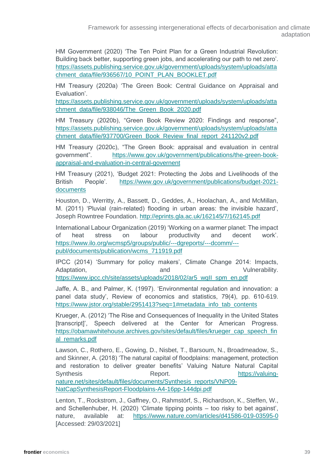Framework for assessing intergenerational effects of decarbonisation and climate adaptation

HM Government (2020) 'The Ten Point Plan for a Green Industrial Revolution: Building back better, supporting green jobs, and accelerating our path to net zero'. [https://assets.publishing.service.gov.uk/government/uploads/system/uploads/atta](https://assets.publishing.service.gov.uk/government/uploads/system/uploads/attachment_data/file/936567/10_POINT_PLAN_BOOKLET.pdf) [chment\\_data/file/936567/10\\_POINT\\_PLAN\\_BOOKLET.pdf](https://assets.publishing.service.gov.uk/government/uploads/system/uploads/attachment_data/file/936567/10_POINT_PLAN_BOOKLET.pdf)

HM Treasury (2020a) 'The Green Book: Central Guidance on Appraisal and Evaluation'.

[https://assets.publishing.service.gov.uk/government/uploads/system/uploads/atta](https://assets.publishing.service.gov.uk/government/uploads/system/uploads/attachment_data/file/938046/The_Green_Book_2020.pdf) [chment\\_data/file/938046/The\\_Green\\_Book\\_2020.pdf](https://assets.publishing.service.gov.uk/government/uploads/system/uploads/attachment_data/file/938046/The_Green_Book_2020.pdf) 

HM Treasury (2020b), "Green Book Review 2020: Findings and response", [https://assets.publishing.service.gov.uk/government/uploads/system/uploads/atta](https://assets.publishing.service.gov.uk/government/uploads/system/uploads/attachment_data/file/937700/Green_Book_Review_final_report_241120v2.pdf) chment\_data/file/937700/Green\_Book\_Review\_final\_report\_241120v2.pdf

HM Treasury (2020c), "The Green Book: appraisal and evaluation in central government". [https://www.gov.uk/government/publications/the-green-book](https://www.gov.uk/government/publications/the-green-book-appraisal-and-evaluation-in-central-governent)[appraisal-and-evaluation-in-central-governent](https://www.gov.uk/government/publications/the-green-book-appraisal-and-evaluation-in-central-governent) 

HM Treasury (2021), 'Budget 2021: Protecting the Jobs and Livelihoods of the British People'. [https://www.gov.uk/government/publications/budget-2021](https://www.gov.uk/government/publications/budget-2021-documents) [documents](https://www.gov.uk/government/publications/budget-2021-documents) 

Houston, D., Werritty, A., Bassett, D., Geddes, A., Hoolachan, A., and McMillan, M. (2011) 'Pluvial (rain-related) flooding in urban areas: the invisible hazard', Joseph Rowntree Foundation.<http://eprints.gla.ac.uk/162145/7/162145.pdf>

International Labour Organization (2019) 'Working on a warmer planet: The impact of heat stress on labour productivity and decent work'. [https://www.ilo.org/wcmsp5/groups/public/---dgreports/---dcomm/--](https://www.ilo.org/wcmsp5/groups/public/---dgreports/---dcomm/---publ/documents/publication/wcms_711919.pdf) [publ/documents/publication/wcms\\_711919.pdf](https://www.ilo.org/wcmsp5/groups/public/---dgreports/---dcomm/---publ/documents/publication/wcms_711919.pdf) 

IPCC (2014) 'Summary for policy makers', Climate Change 2014: Impacts, Adaptation, and and Vulnerability. https://www.ipcc.ch/site/assets/uploads/2018/02/ar5\_wgll\_spm\_en.pdf

Jaffe, A. B., and Palmer, K. (1997). 'Environmental regulation and innovation: a panel data study', Review of economics and statistics, 79(4), pp. 610-619. [https://www.jstor.org/stable/2951413?seq=1#metadata\\_info\\_tab\\_contents](https://www.jstor.org/stable/2951413?seq=1#metadata_info_tab_contents)

Krueger, A. (2012) 'The Rise and Consequences of Inequality in the United States [transcript]', Speech delivered at the Center for American Progress. [https://obamawhitehouse.archives.gov/sites/default/files/krueger\\_cap\\_speech\\_fin](https://obamawhitehouse.archives.gov/sites/default/files/krueger_cap_speech_final_remarks.pdf) [al\\_remarks.pdf](https://obamawhitehouse.archives.gov/sites/default/files/krueger_cap_speech_final_remarks.pdf) 

Lawson, C., Rothero, E., Gowing, D., Nisbet, T., Barsoum, N., Broadmeadow, S., and Skinner, A. (2018) 'The natural capital of floodplains: management, protection and restoration to deliver greater benefits' Valuing Nature Natural Capital Synthesis Report. Report. [https://valuing](https://valuing-nature.net/sites/default/files/documents/Synthesis_reports/VNP09-NatCapSynthesisReport-Floodplains-A4-16pp-144dpi.pdf)[nature.net/sites/default/files/documents/Synthesis\\_reports/VNP09-](https://valuing-nature.net/sites/default/files/documents/Synthesis_reports/VNP09-NatCapSynthesisReport-Floodplains-A4-16pp-144dpi.pdf)

[NatCapSynthesisReport-Floodplains-A4-16pp-144dpi.pdf](https://valuing-nature.net/sites/default/files/documents/Synthesis_reports/VNP09-NatCapSynthesisReport-Floodplains-A4-16pp-144dpi.pdf) 

Lenton, T., Rockstrom, J., Gaffney, O., Rahmstörf, S., Richardson, K., Steffen, W., and Schellenhuber, H. (2020) 'Climate tipping points – too risky to bet against', nature, available at: <https://www.nature.com/articles/d41586-019-03595-0> [Accessed: 29/03/2021]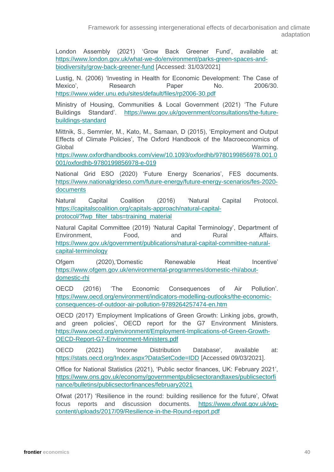Framework for assessing intergenerational effects of decarbonisation and climate adaptation

London Assembly (2021) 'Grow Back Greener Fund', available at: [https://www.london.gov.uk/what-we-do/environment/parks-green-spaces-and](https://www.london.gov.uk/what-we-do/environment/parks-green-spaces-and-biodiversity/grow-back-greener-fund)[biodiversity/grow-back-greener-fund](https://www.london.gov.uk/what-we-do/environment/parks-green-spaces-and-biodiversity/grow-back-greener-fund) [Accessed: 31/03/2021]

Lustig, N. (2006) 'Investing in Health for Economic Development: The Case of Mexico', Research Paper No. 2006/30. <https://www.wider.unu.edu/sites/default/files/rp2006-30.pdf>

Ministry of Housing, Communities & Local Government (2021) 'The Future Buildings Standard'. [https://www.gov.uk/government/consultations/the-future](https://www.gov.uk/government/consultations/the-future-buildings-standard)[buildings-standard](https://www.gov.uk/government/consultations/the-future-buildings-standard)

Mittnik, S., Semmler, M., Kato, M., Samaan, D (2015), 'Employment and Output Effects of Climate Policies', The Oxford Handbook of the Macroeconomics of Global Warming.

[https://www.oxfordhandbooks.com/view/10.1093/oxfordhb/9780199856978.001.0](https://www.oxfordhandbooks.com/view/10.1093/oxfordhb/9780199856978.001.0001/oxfordhb-9780199856978-e-019) [001/oxfordhb-9780199856978-e-019](https://www.oxfordhandbooks.com/view/10.1093/oxfordhb/9780199856978.001.0001/oxfordhb-9780199856978-e-019)

National Grid ESO (2020) 'Future Energy Scenarios', FES documents. [https://www.nationalgrideso.com/future-energy/future-energy-scenarios/fes-2020](https://www.nationalgrideso.com/future-energy/future-energy-scenarios/fes-2020-documents) [documents](https://www.nationalgrideso.com/future-energy/future-energy-scenarios/fes-2020-documents)

Natural Capital Coalition (2016) 'Natural Capital Protocol. [https://capitalscoalition.org/capitals-approach/natural-capital](https://capitalscoalition.org/capitals-approach/natural-capital-protocol/?fwp_filter_tabs=training_material)protocol/?fwp\_filter\_tabs=training\_material

Natural Capital Committee (2019) 'Natural Capital Terminology', Department of Environment, Food, and Rural Affairs. [https://www.gov.uk/government/publications/natural-capital-committee-natural](https://www.gov.uk/government/publications/natural-capital-committee-natural-capital-terminology)[capital-terminology](https://www.gov.uk/government/publications/natural-capital-committee-natural-capital-terminology) 

Ofgem (2020),'Domestic Renewable Heat Incentive' [https://www.ofgem.gov.uk/environmental-programmes/domestic-rhi/about](https://www.ofgem.gov.uk/environmental-programmes/domestic-rhi/about-domestic-rhi)[domestic-rhi](https://www.ofgem.gov.uk/environmental-programmes/domestic-rhi/about-domestic-rhi) 

OECD (2016) 'The Economic Consequences of Air Pollution'. [https://www.oecd.org/environment/indicators-modelling-outlooks/the-economic](https://www.oecd.org/environment/indicators-modelling-outlooks/the-economic-consequences-of-outdoor-air-pollution-9789264257474-en.htm)[consequences-of-outdoor-air-pollution-9789264257474-en.htm](https://www.oecd.org/environment/indicators-modelling-outlooks/the-economic-consequences-of-outdoor-air-pollution-9789264257474-en.htm) 

OECD (2017) 'Employment Implications of Green Growth: Linking jobs, growth, and green policies', OECD report for the G7 Environment Ministers. [https://www.oecd.org/environment/Employment-Implications-of-Green-Growth-](https://www.oecd.org/environment/Employment-Implications-of-Green-Growth-OECD-Report-G7-Environment-Ministers.pdf)[OECD-Report-G7-Environment-Ministers.pdf](https://www.oecd.org/environment/Employment-Implications-of-Green-Growth-OECD-Report-G7-Environment-Ministers.pdf) 

OECD (2021) 'Income Distribution Database', available at: <https://stats.oecd.org/Index.aspx?DataSetCode=IDD> [Accessed 09/03/2021].

Office for National Statistics (2021), 'Public sector finances, UK: February 2021', [https://www.ons.gov.uk/economy/governmentpublicsectorandtaxes/publicsectorfi](https://www.ons.gov.uk/economy/governmentpublicsectorandtaxes/publicsectorfinance/bulletins/publicsectorfinances/february2021) [nance/bulletins/publicsectorfinances/february2021](https://www.ons.gov.uk/economy/governmentpublicsectorandtaxes/publicsectorfinance/bulletins/publicsectorfinances/february2021) 

Ofwat (2017) 'Resilience in the round: building resilience for the future', Ofwat focus reports and discussion documents. [https://www.ofwat.gov.uk/wp](https://www.ofwat.gov.uk/wp-content/uploads/2017/09/Resilience-in-the-Round-report.pdf)[content/uploads/2017/09/Resilience-in-the-Round-report.pdf](https://www.ofwat.gov.uk/wp-content/uploads/2017/09/Resilience-in-the-Round-report.pdf)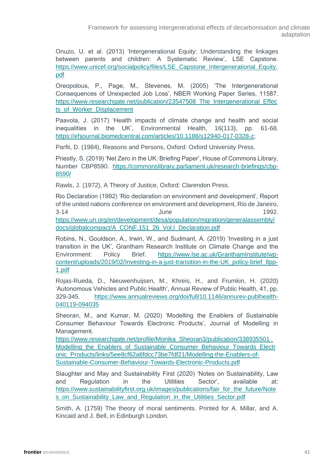Onuzo, U. et al. (2013) 'Intergenerational Equity: Understanding the linkages between parents and children: A Systematic Review', LSE Capstone. [https://www.unicef.org/socialpolicy/files/LSE\\_Capstone\\_Intergenerational\\_Equity.](https://www.unicef.org/socialpolicy/files/LSE_Capstone_Intergenerational_Equity.pdf) [pdf](https://www.unicef.org/socialpolicy/files/LSE_Capstone_Intergenerational_Equity.pdf)

Oreopolous, P., Page, M., Stevenes, M. (2005) 'The Intergenerational Consequences of Unexpected Job Loss', NBER Working Paper Series, 11587. [https://www.researchgate.net/publication/23547508\\_The\\_Intergenerational\\_Effec](https://www.researchgate.net/publication/23547508_The_Intergenerational_Effects_of_Worker_Displacement) ts\_of\_Worker\_Displacement

Paavola, J. (2017) 'Health impacts of climate change and health and social inequalities in the UK', Environmental Health, 16(113), pp. 61-68. [https://ehjournal.biomedcentral.com/articles/10.1186/s12940-017-0328-z;](https://ehjournal.biomedcentral.com/articles/10.1186/s12940-017-0328-z)

Parfit, D. (1984), Reasons and Persons, Oxford: Oxford University Press.

Priestly, S. (2019) 'Net Zero in the UK: Briefing Paper', House of Commons Library, Number CBP8590. [https://commonslibrary.parliament.uk/research-briefings/cbp-](https://commonslibrary.parliament.uk/research-briefings/cbp-8590/)[8590/](https://commonslibrary.parliament.uk/research-briefings/cbp-8590/) 

Rawls, J. (1972), A Theory of Justice, Oxford: Clarendon Press.

Rio Declaration (1992) 'Rio declaration on environment and development', Report of the united nations conference on environment and development, Rio de Janeiro, 3-14 June 1992. [https://www.un.org/en/development/desa/population/migration/generalassembly/](https://www.un.org/en/development/desa/population/migration/generalassembly/docs/globalcompact/A_CONF.151_26_Vol.I_Declaration.pdf) [docs/globalcompact/A\\_CONF.151\\_26\\_Vol.I\\_Declaration.pdf](https://www.un.org/en/development/desa/population/migration/generalassembly/docs/globalcompact/A_CONF.151_26_Vol.I_Declaration.pdf) 

Robins, N., Gouldson, A., Irwin, W., and Sudmant, A. (2019) 'Investing in a just transition in the UK', Grantham Research Institute on Climate Change and the Environment: Policy Brief. [https://www.lse.ac.uk/GranthamInstitute/wp](https://www.lse.ac.uk/GranthamInstitute/wp-content/uploads/2019/02/Investing-in-a-just-transition-in-the-UK_policy-brief_8pp-1.pdf)[content/uploads/2019/02/Investing-in-a-just-transition-in-the-UK\\_policy-brief\\_8pp-](https://www.lse.ac.uk/GranthamInstitute/wp-content/uploads/2019/02/Investing-in-a-just-transition-in-the-UK_policy-brief_8pp-1.pdf)[1.pdf](https://www.lse.ac.uk/GranthamInstitute/wp-content/uploads/2019/02/Investing-in-a-just-transition-in-the-UK_policy-brief_8pp-1.pdf) 

Rojas-Rueda, D., Nieuwenhuijsen, M., Khreis, H., and Frumkin, H. (2020) 'Autonomous Vehicles and Public Health', Annual Review of Public Health, 41, pp. 329-345. [https://www.annualreviews.org/doi/full/10.1146/annurev-publhealth-](https://www.annualreviews.org/doi/full/10.1146/annurev-publhealth-040119-094035)[040119-094035](https://www.annualreviews.org/doi/full/10.1146/annurev-publhealth-040119-094035) 

Sheoran, M., and Kumar, M. (2020) 'Modelling the Enablers of Sustainable Consumer Behaviour Towards Electronic Products', Journal of Modelling in Management.

https://www.researchgate.net/profile/Monika Sheoran3/publication/338935501 Modelling the Enablers of Sustainable Consumer Behaviour Towards Electr [onic\\_Products/links/5ee8cf62a6fdcc73be7fdf21/Modelling-the-Enablers-of-](https://www.researchgate.net/profile/Monika_Sheoran3/publication/338935501_Modelling_the_Enablers_of_Sustainable_Consumer_Behaviour_Towards_Electronic_Products/links/5ee8cf62a6fdcc73be7fdf21/Modelling-the-Enablers-of-Sustainable-Consumer-Behaviour-Towards-Electronic-Products.pdf)[Sustainable-Consumer-Behaviour-Towards-Electronic-Products.pdf](https://www.researchgate.net/profile/Monika_Sheoran3/publication/338935501_Modelling_the_Enablers_of_Sustainable_Consumer_Behaviour_Towards_Electronic_Products/links/5ee8cf62a6fdcc73be7fdf21/Modelling-the-Enablers-of-Sustainable-Consumer-Behaviour-Towards-Electronic-Products.pdf) 

Slaughter and May and Sustainability First (2020) 'Notes on Sustainability, Law and Regulation in the Utilities Sector', available at: [https://www.sustainabilityfirst.org.uk/images/publications/fair\\_for\\_the\\_future/Note](https://www.sustainabilityfirst.org.uk/images/publications/fair_for_the_future/Notes_on_Sustainability_Law_and_Regulation_in_the_Utilities_Sector.pdf) s on Sustainability Law and Regulation in the Utilities Sector.pdf

Smith, A. (1759) The theory of moral sentiments. Printed for A. Millar, and A. Kincaid and J. Bell, in Edinburgh London.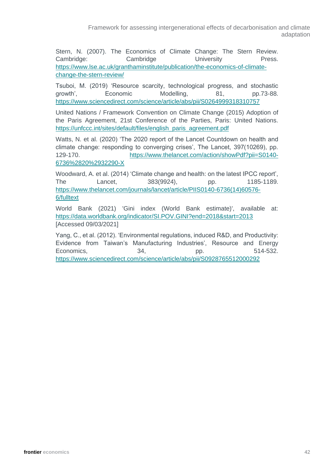Framework for assessing intergenerational effects of decarbonisation and climate adaptation

Stern, N. (2007). The Economics of Climate Change: The Stern Review. Cambridge: Cambridge University Press. [https://www.lse.ac.uk/granthaminstitute/publication/the-economics-of-climate](https://www.lse.ac.uk/granthaminstitute/publication/the-economics-of-climate-change-the-stern-review/)[change-the-stern-review/](https://www.lse.ac.uk/granthaminstitute/publication/the-economics-of-climate-change-the-stern-review/) 

Tsuboi, M. (2019) 'Resource scarcity, technological progress, and stochastic growth', Economic Modelling, 81, pp.73-88. <https://www.sciencedirect.com/science/article/abs/pii/S0264999318310757>

United Nations / Framework Convention on Climate Change (2015) Adoption of the Paris Agreement, 21st Conference of the Parties, Paris: United Nations. [https://unfccc.int/sites/default/files/english\\_paris\\_agreement.pdf](https://unfccc.int/sites/default/files/english_paris_agreement.pdf) 

Watts, N. et al. (2020) 'The 2020 report of the Lancet Countdown on health and climate change: responding to converging crises', The Lancet, 397(10269), pp. 129-170. [https://www.thelancet.com/action/showPdf?pii=S0140-](https://www.thelancet.com/action/showPdf?pii=S0140-6736%2820%2932290-X) [6736%2820%2932290-X](https://www.thelancet.com/action/showPdf?pii=S0140-6736%2820%2932290-X) 

Woodward, A. et al. (2014) 'Climate change and health: on the latest IPCC report', The Lancet, 383(9924), pp. 1185-1189. [https://www.thelancet.com/journals/lancet/article/PIIS0140-6736\(14\)60576-](https://www.thelancet.com/journals/lancet/article/PIIS0140-6736(14)60576-6/fulltext) [6/fulltext](https://www.thelancet.com/journals/lancet/article/PIIS0140-6736(14)60576-6/fulltext) 

World Bank (2021) 'Gini index (World Bank estimate)', available at: <https://data.worldbank.org/indicator/SI.POV.GINI?end=2018&start=2013> [Accessed 09/03/2021]

Yang, C., et al. (2012). 'Environmental regulations, induced R&D, and Productivity: Evidence from Taiwan's Manufacturing Industries', Resource and Energy Economics, 34, pp. 514-532. <https://www.sciencedirect.com/science/article/abs/pii/S0928765512000292>